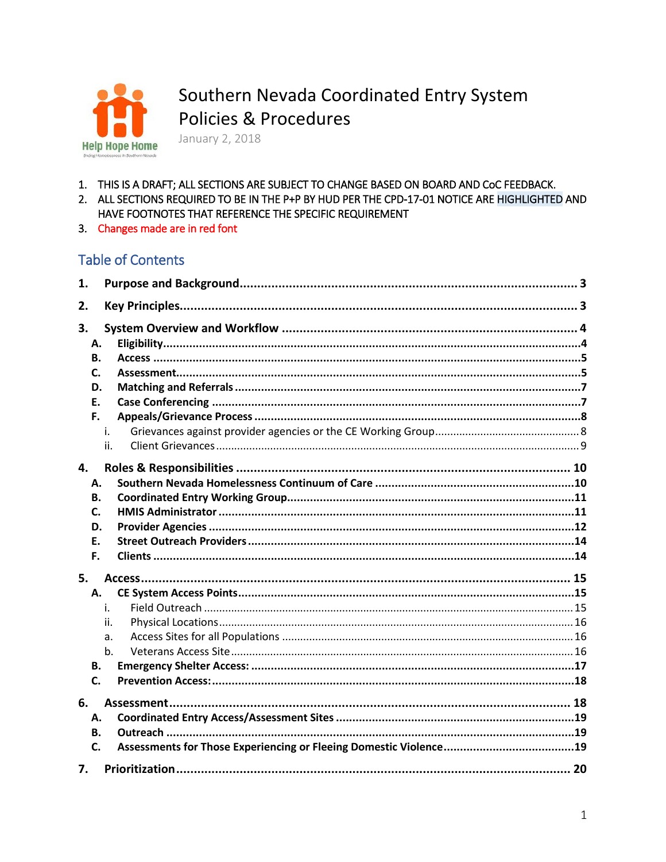

Southern Nevada Coordinated Entry System Policies & Procedures

January 2, 2018

- 1. THIS IS A DRAFT; ALL SECTIONS ARE SUBJECT TO CHANGE BASED ON BOARD AND CoC FEEDBACK.
- 2. ALL SECTIONS REQUIRED TO BE IN THE P+P BY HUD PER THE CPD-17-01 NOTICE ARE HIGHLIGHTED AND HAVE FOOTNOTES THAT REFERENCE THE SPECIFIC REQUIREMENT
- 3. Changes made are in red font

# **Table of Contents**

| 1. |     |
|----|-----|
| 2. |     |
| 3. |     |
| А. |     |
| В. |     |
| C. |     |
| D. |     |
| Ε. |     |
| F. |     |
|    | i.  |
|    | ii. |
| 4. |     |
| Α. |     |
| В. |     |
| C. |     |
| D. |     |
| E. |     |
| F. |     |
| 5. |     |
| Α. |     |
|    | i.  |
|    | ii. |
|    | a.  |
|    | b.  |
| В. |     |
| C. |     |
| 6. |     |
| А. |     |
| В. |     |
| C. |     |
| 7. |     |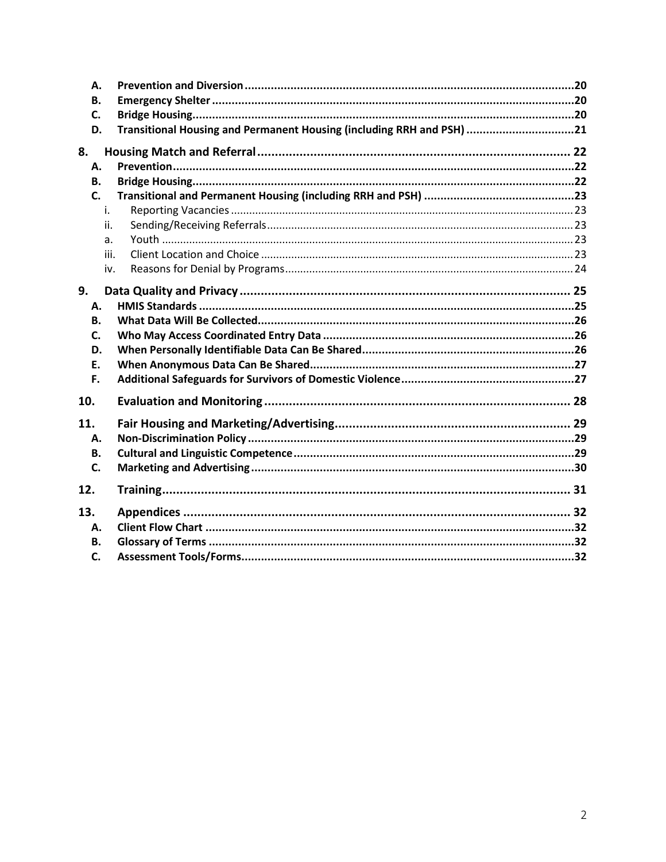<span id="page-1-0"></span>

| А.<br>В.  |                                                                       |  |
|-----------|-----------------------------------------------------------------------|--|
| C.        |                                                                       |  |
| D.        | Transitional Housing and Permanent Housing (including RRH and PSH) 21 |  |
| 8.        |                                                                       |  |
| А.        |                                                                       |  |
| <b>B.</b> |                                                                       |  |
| C.        |                                                                       |  |
| i.        |                                                                       |  |
| ii.       |                                                                       |  |
| a.        |                                                                       |  |
| iii.      |                                                                       |  |
| iv.       |                                                                       |  |
| 9.        |                                                                       |  |
| Α.        |                                                                       |  |
| В.        |                                                                       |  |
| C.        |                                                                       |  |
| D.        |                                                                       |  |
| Е.        |                                                                       |  |
| F.        |                                                                       |  |
| 10.       |                                                                       |  |
|           |                                                                       |  |
| 11.       |                                                                       |  |
| А.        |                                                                       |  |
| <b>B.</b> |                                                                       |  |
| C.        |                                                                       |  |
| 12.       |                                                                       |  |
| 13.       |                                                                       |  |
| А.        |                                                                       |  |
| В.        |                                                                       |  |
| C.        |                                                                       |  |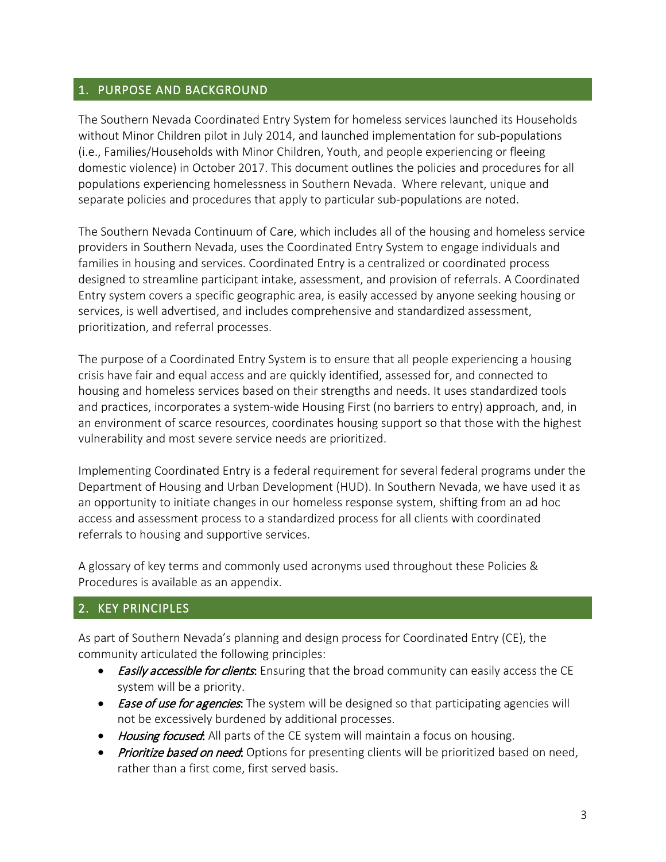#### 1. PURPOSE AND BACKGROUND

The Southern Nevada Coordinated Entry System for homeless services launched its Households without Minor Children pilot in July 2014, and launched implementation for sub-populations (i.e., Families/Households with Minor Children, Youth, and people experiencing or fleeing domestic violence) in October 2017. This document outlines the policies and procedures for all populations experiencing homelessness in Southern Nevada. Where relevant, unique and separate policies and procedures that apply to particular sub-populations are noted.

The Southern Nevada Continuum of Care, which includes all of the housing and homeless service providers in Southern Nevada, uses the Coordinated Entry System to engage individuals and families in housing and services. Coordinated Entry is a centralized or coordinated process designed to streamline participant intake, assessment, and provision of referrals. A Coordinated Entry system covers a specific geographic area, is easily accessed by anyone seeking housing or services, is well advertised, and includes comprehensive and standardized assessment, prioritization, and referral processes.

The purpose of a Coordinated Entry System is to ensure that all people experiencing a housing crisis have fair and equal access and are quickly identified, assessed for, and connected to housing and homeless services based on their strengths and needs. It uses standardized tools and practices, incorporates a system-wide Housing First (no barriers to entry) approach, and, in an environment of scarce resources, coordinates housing support so that those with the highest vulnerability and most severe service needs are prioritized.

Implementing Coordinated Entry is a federal requirement for several federal programs under the Department of Housing and Urban Development (HUD). In Southern Nevada, we have used it as an opportunity to initiate changes in our homeless response system, shifting from an ad hoc access and assessment process to a standardized process for all clients with coordinated referrals to housing and supportive services.

A glossary of key terms and commonly used acronyms used throughout these Policies & Procedures is available as an appendix.

# <span id="page-2-0"></span>2. KEY PRINCIPLES

As part of Southern Nevada's planning and design process for Coordinated Entry (CE), the community articulated the following principles:

- *Easily accessible for clients*: Ensuring that the broad community can easily access the CE system will be a priority.
- Ease of use for agencies: The system will be designed so that participating agencies will not be excessively burdened by additional processes.
- Housing focused: All parts of the CE system will maintain a focus on housing.
- Prioritize based on need: Options for presenting clients will be prioritized based on need, rather than a first come, first served basis.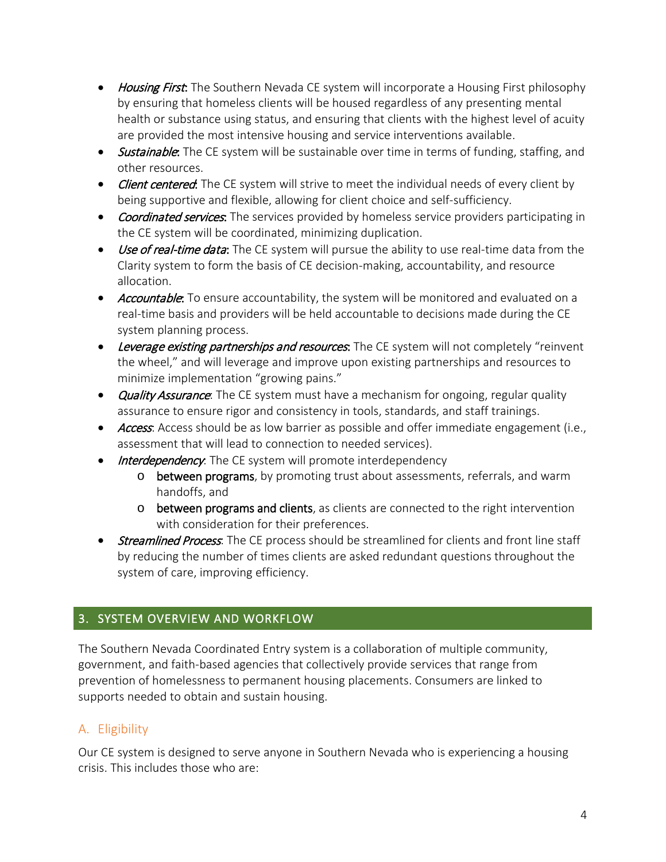- Housing First: The Southern Nevada CE system will incorporate a Housing First philosophy by ensuring that homeless clients will be housed regardless of any presenting mental health or substance using status, and ensuring that clients with the highest level of acuity are provided the most intensive housing and service interventions available.
- Sustainable: The CE system will be sustainable over time in terms of funding, staffing, and other resources.
- Client centered: The CE system will strive to meet the individual needs of every client by being supportive and flexible, allowing for client choice and self-sufficiency.
- Coordinated services: The services provided by homeless service providers participating in the CE system will be coordinated, minimizing duplication.
- Use of real-time data: The CE system will pursue the ability to use real-time data from the Clarity system to form the basis of CE decision-making, accountability, and resource allocation.
- Accountable: To ensure accountability, the system will be monitored and evaluated on a real-time basis and providers will be held accountable to decisions made during the CE system planning process.
- Leverage existing partnerships and resources. The CE system will not completely "reinvent the wheel," and will leverage and improve upon existing partnerships and resources to minimize implementation "growing pains."
- Quality Assurance: The CE system must have a mechanism for ongoing, regular quality assurance to ensure rigor and consistency in tools, standards, and staff trainings.
- Access: Access should be as low barrier as possible and offer immediate engagement (i.e., assessment that will lead to connection to needed services).
- Interdependency. The CE system will promote interdependency
	- o between programs, by promoting trust about assessments, referrals, and warm handoffs, and
	- o between programs and clients, as clients are connected to the right intervention with consideration for their preferences.
- Streamlined Process: The CE process should be streamlined for clients and front line staff by reducing the number of times clients are asked redundant questions throughout the system of care, improving efficiency.

# <span id="page-3-0"></span>3. SYSTEM OVERVIEW AND WORKFLOW

The Southern Nevada Coordinated Entry system is a collaboration of multiple community, government, and faith-based agencies that collectively provide services that range from prevention of homelessness to permanent housing placements. Consumers are linked to supports needed to obtain and sustain housing.

# <span id="page-3-1"></span>A. Eligibility

Our CE system is designed to serve anyone in Southern Nevada who is experiencing a housing crisis. This includes those who are: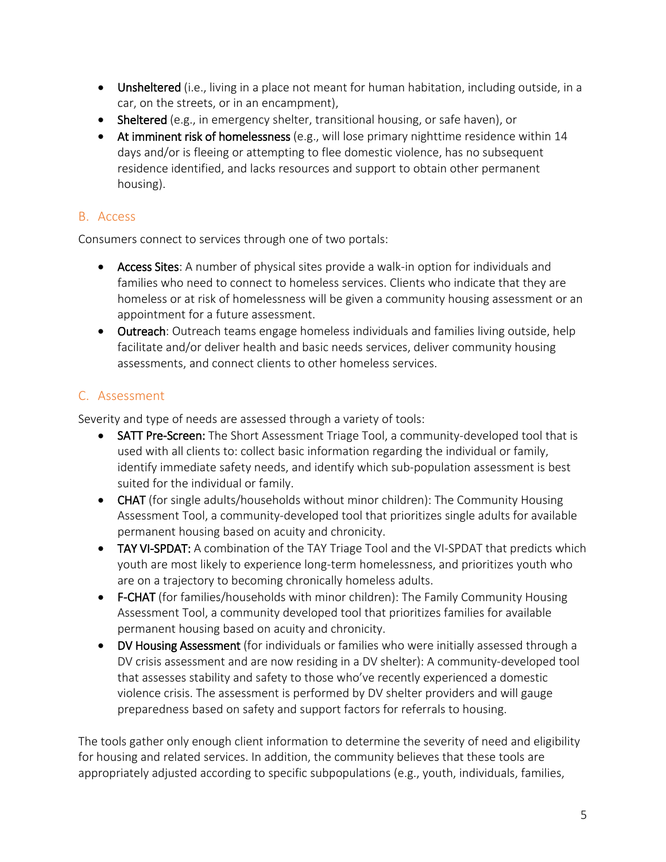- Unsheltered (i.e., living in a place not meant for human habitation, including outside, in a car, on the streets, or in an encampment),
- Sheltered (e.g., in emergency shelter, transitional housing, or safe haven), or
- At imminent risk of homelessness (e.g., will lose primary nighttime residence within 14 days and/or is fleeing or attempting to flee domestic violence, has no subsequent residence identified, and lacks resources and support to obtain other permanent housing).

# <span id="page-4-0"></span>B. Access

Consumers connect to services through one of two portals:

- Access Sites: A number of physical sites provide a walk-in option for individuals and families who need to connect to homeless services. Clients who indicate that they are homeless or at risk of homelessness will be given a community housing assessment or an appointment for a future assessment.
- Outreach: Outreach teams engage homeless individuals and families living outside, help facilitate and/or deliver health and basic needs services, deliver community housing assessments, and connect clients to other homeless services.

# <span id="page-4-1"></span>C. Assessment

Severity and type of needs are assessed through a variety of tools:

- SATT Pre-Screen: The Short Assessment Triage Tool, a community-developed tool that is used with all clients to: collect basic information regarding the individual or family, identify immediate safety needs, and identify which sub-population assessment is best suited for the individual or family.
- CHAT (for single adults/households without minor children): The Community Housing Assessment Tool, a community-developed tool that prioritizes single adults for available permanent housing based on acuity and chronicity.
- **TAY VI-SPDAT:** A combination of the TAY Triage Tool and the VI-SPDAT that predicts which youth are most likely to experience long-term homelessness, and prioritizes youth who are on a trajectory to becoming chronically homeless adults.
- F-CHAT (for families/households with minor children): The Family Community Housing Assessment Tool, a community developed tool that prioritizes families for available permanent housing based on acuity and chronicity.
- DV Housing Assessment (for individuals or families who were initially assessed through a DV crisis assessment and are now residing in a DV shelter): A community-developed tool that assesses stability and safety to those who've recently experienced a domestic violence crisis. The assessment is performed by DV shelter providers and will gauge preparedness based on safety and support factors for referrals to housing.

The tools gather only enough client information to determine the severity of need and eligibility for housing and related services. In addition, the community believes that these tools are appropriately adjusted according to specific subpopulations (e.g., youth, individuals, families,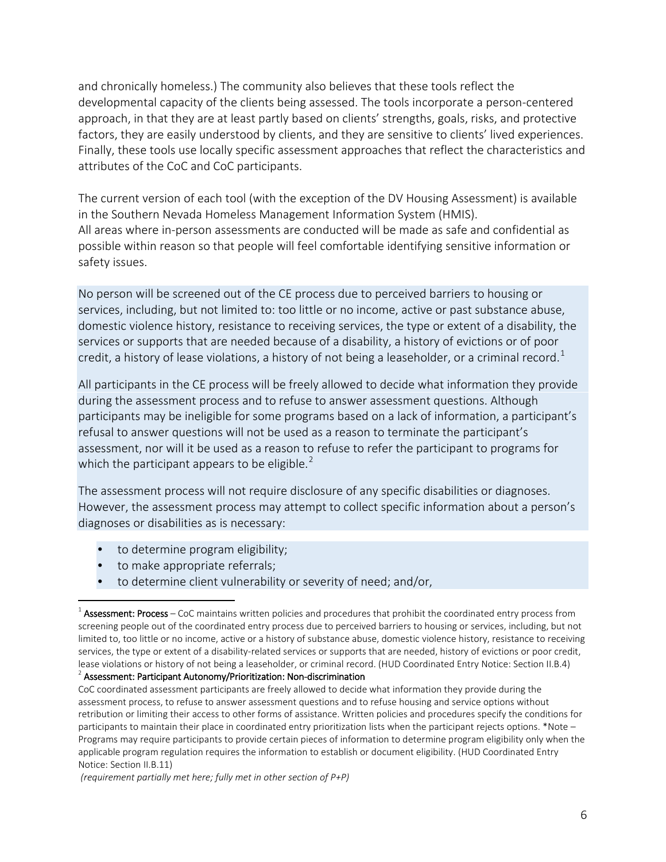and chronically homeless.) The community also believes that these tools reflect the developmental capacity of the clients being assessed. The tools incorporate a person-centered approach, in that they are at least partly based on clients' strengths, goals, risks, and protective factors, they are easily understood by clients, and they are sensitive to clients' lived experiences. Finally, these tools use locally specific assessment approaches that reflect the characteristics and attributes of the CoC and CoC participants.

The current version of each tool (with the exception of the DV Housing Assessment) is available in the Southern Nevada Homeless Management Information System (HMIS). All areas where in-person assessments are conducted will be made as safe and confidential as possible within reason so that people will feel comfortable identifying sensitive information or safety issues.

No person will be screened out of the CE process due to perceived barriers to housing or services, including, but not limited to: too little or no income, active or past substance abuse, domestic violence history, resistance to receiving services, the type or extent of a disability, the services or supports that are needed because of a disability, a history of evictions or of poor credit, a history of lease violations, a history of not being a leaseholder, or a criminal record.<sup>[1](#page-5-0)</sup>

All participants in the CE process will be freely allowed to decide what information they provide during the assessment process and to refuse to answer assessment questions. Although participants may be ineligible for some programs based on a lack of information, a participant's refusal to answer questions will not be used as a reason to terminate the participant's assessment, nor will it be used as a reason to refuse to refer the participant to programs for which the participant appears to be eligible.<sup>[2](#page-5-1)</sup>

The assessment process will not require disclosure of any specific disabilities or diagnoses. However, the assessment process may attempt to collect specific information about a person's diagnoses or disabilities as is necessary:

- to determine program eligibility;
- to make appropriate referrals;
- to determine client vulnerability or severity of need; and/or,

*(requirement partially met here; fully met in other section of P+P)*

<span id="page-5-0"></span> $1$  Assessment: Process – CoC maintains written policies and procedures that prohibit the coordinated entry process from screening people out of the coordinated entry process due to perceived barriers to housing or services, including, but not limited to, too little or no income, active or a history of substance abuse, domestic violence history, resistance to receiving services, the type or extent of a disability-related services or supports that are needed, history of evictions or poor credit, lease violations or history of not being a leaseholder, or criminal record. (HUD Coordinated Entry Notice: Section II.B.4)

<span id="page-5-1"></span> $2$  Assessment: Participant Autonomy/Prioritization: Non-discrimination

CoC coordinated assessment participants are freely allowed to decide what information they provide during the assessment process, to refuse to answer assessment questions and to refuse housing and service options without retribution or limiting their access to other forms of assistance. Written policies and procedures specify the conditions for participants to maintain their place in coordinated entry prioritization lists when the participant rejects options. \*Note – Programs may require participants to provide certain pieces of information to determine program eligibility only when the applicable program regulation requires the information to establish or document eligibility. (HUD Coordinated Entry Notice: Section II.B.11)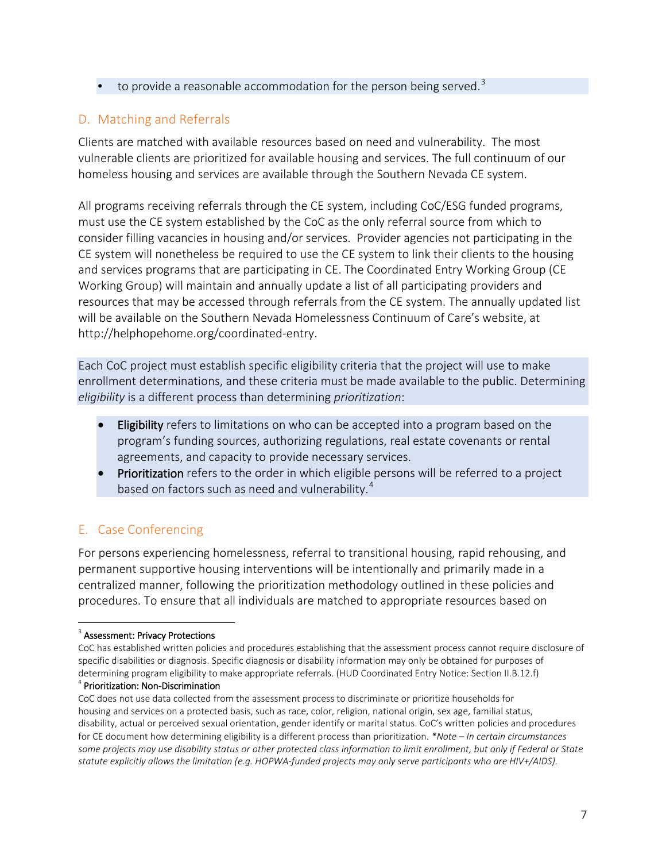• to provide a reasonable accommodation for the person being served.<sup>[3](#page-6-2)</sup>

# <span id="page-6-0"></span>D. Matching and Referrals

Clients are matched with available resources based on need and vulnerability. The most vulnerable clients are prioritized for available housing and services. The full continuum of our homeless housing and services are available through the Southern Nevada CE system.

All programs receiving referrals through the CE system, including CoC/ESG funded programs, must use the CE system established by the CoC as the only referral source from which to consider filling vacancies in housing and/or services. Provider agencies not participating in the CE system will nonetheless be required to use the CE system to link their clients to the housing and services programs that are participating in CE. The Coordinated Entry Working Group (CE Working Group) will maintain and annually update a list of all participating providers and resources that may be accessed through referrals from the CE system. The annually updated list will be available on the Southern Nevada Homelessness Continuum of Care's website, at http://helphopehome.org/coordinated-entry.

Each CoC project must establish specific eligibility criteria that the project will use to make enrollment determinations, and these criteria must be made available to the public. Determining *eligibility* is a different process than determining *prioritization*:

- Eligibility refers to limitations on who can be accepted into a program based on the program's funding sources, authorizing regulations, real estate covenants or rental agreements, and capacity to provide necessary services.
- Prioritization refers to the order in which eligible persons will be referred to a project based on factors such as need and vulnerability.<sup>[4](#page-6-3)</sup>

# <span id="page-6-1"></span>E. Case Conferencing

For persons experiencing homelessness, referral to transitional housing, rapid rehousing, and permanent supportive housing interventions will be intentionally and primarily made in a centralized manner, following the prioritization methodology outlined in these policies and procedures. To ensure that all individuals are matched to appropriate resources based on

<span id="page-6-2"></span><sup>&</sup>lt;sup>3</sup> Assessment: Privacy Protections

CoC has established written policies and procedures establishing that the assessment process cannot require disclosure of specific disabilities or diagnosis. Specific diagnosis or disability information may only be obtained for purposes of determining program eligibility to make appropriate referrals. (HUD Coordinated Entry Notice: Section II.B.12.f) <sup>4</sup> Prioritization: Non-Discrimination

<span id="page-6-3"></span>CoC does not use data collected from the assessment process to discriminate or prioritize households for housing and services on a protected basis, such as race, color, religion, national origin, sex age, familial status, disability, actual or perceived sexual orientation, gender identify or marital status. CoC's written policies and procedures for CE document how determining eligibility is a different process than prioritization. *\*Note – In certain circumstances some projects may use disability status or other protected class information to limit enrollment, but only if Federal or State statute explicitly allows the limitation (e.g. HOPWA-funded projects may only serve participants who are HIV+/AIDS).*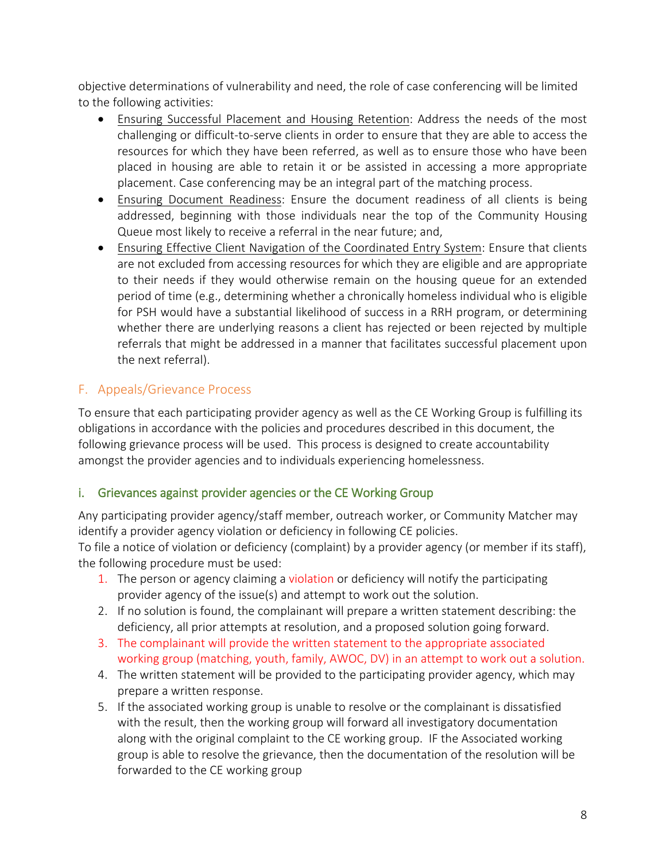objective determinations of vulnerability and need, the role of case conferencing will be limited to the following activities:

- Ensuring Successful Placement and Housing Retention: Address the needs of the most challenging or difficult-to-serve clients in order to ensure that they are able to access the resources for which they have been referred, as well as to ensure those who have been placed in housing are able to retain it or be assisted in accessing a more appropriate placement. Case conferencing may be an integral part of the matching process.
- Ensuring Document Readiness: Ensure the document readiness of all clients is being addressed, beginning with those individuals near the top of the Community Housing Queue most likely to receive a referral in the near future; and,
- Ensuring Effective Client Navigation of the Coordinated Entry System: Ensure that clients are not excluded from accessing resources for which they are eligible and are appropriate to their needs if they would otherwise remain on the housing queue for an extended period of time (e.g., determining whether a chronically homeless individual who is eligible for PSH would have a substantial likelihood of success in a RRH program, or determining whether there are underlying reasons a client has rejected or been rejected by multiple referrals that might be addressed in a manner that facilitates successful placement upon the next referral).

# <span id="page-7-0"></span>F. Appeals/Grievance Process

To ensure that each participating provider agency as well as the CE Working Group is fulfilling its obligations in accordance with the policies and procedures described in this document, the following grievance process will be used. This process is designed to create accountability amongst the provider agencies and to individuals experiencing homelessness.

## <span id="page-7-1"></span>i. Grievances against provider agencies or the CE Working Group

Any participating provider agency/staff member, outreach worker, or Community Matcher may identify a provider agency violation or deficiency in following CE policies. To file a notice of violation or deficiency (complaint) by a provider agency (or member if its staff),

the following procedure must be used:

- 1. The person or agency claiming a violation or deficiency will notify the participating provider agency of the issue(s) and attempt to work out the solution.
- 2. If no solution is found, the complainant will prepare a written statement describing: the deficiency, all prior attempts at resolution, and a proposed solution going forward.
- 3. The complainant will provide the written statement to the appropriate associated working group (matching, youth, family, AWOC, DV) in an attempt to work out a solution.
- 4. The written statement will be provided to the participating provider agency, which may prepare a written response.
- 5. If the associated working group is unable to resolve or the complainant is dissatisfied with the result, then the working group will forward all investigatory documentation along with the original complaint to the CE working group. IF the Associated working group is able to resolve the grievance, then the documentation of the resolution will be forwarded to the CE working group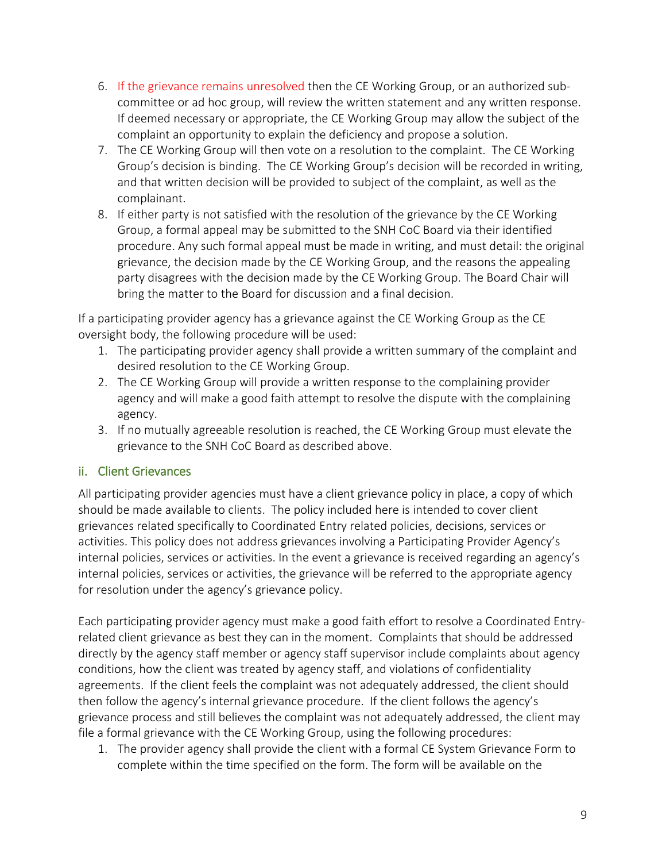- 6. If the grievance remains unresolved then the CE Working Group, or an authorized subcommittee or ad hoc group, will review the written statement and any written response. If deemed necessary or appropriate, the CE Working Group may allow the subject of the complaint an opportunity to explain the deficiency and propose a solution.
- 7. The CE Working Group will then vote on a resolution to the complaint. The CE Working Group's decision is binding. The CE Working Group's decision will be recorded in writing, and that written decision will be provided to subject of the complaint, as well as the complainant.
- 8. If either party is not satisfied with the resolution of the grievance by the CE Working Group, a formal appeal may be submitted to the SNH CoC Board via their identified procedure. Any such formal appeal must be made in writing, and must detail: the original grievance, the decision made by the CE Working Group, and the reasons the appealing party disagrees with the decision made by the CE Working Group. The Board Chair will bring the matter to the Board for discussion and a final decision.

If a participating provider agency has a grievance against the CE Working Group as the CE oversight body, the following procedure will be used:

- 1. The participating provider agency shall provide a written summary of the complaint and desired resolution to the CE Working Group.
- 2. The CE Working Group will provide a written response to the complaining provider agency and will make a good faith attempt to resolve the dispute with the complaining agency.
- 3. If no mutually agreeable resolution is reached, the CE Working Group must elevate the grievance to the SNH CoC Board as described above.

## <span id="page-8-0"></span>ii. Client Grievances

All participating provider agencies must have a client grievance policy in place, a copy of which should be made available to clients. The policy included here is intended to cover client grievances related specifically to Coordinated Entry related policies, decisions, services or activities. This policy does not address grievances involving a Participating Provider Agency's internal policies, services or activities. In the event a grievance is received regarding an agency's internal policies, services or activities, the grievance will be referred to the appropriate agency for resolution under the agency's grievance policy.

Each participating provider agency must make a good faith effort to resolve a Coordinated Entryrelated client grievance as best they can in the moment. Complaints that should be addressed directly by the agency staff member or agency staff supervisor include complaints about agency conditions, how the client was treated by agency staff, and violations of confidentiality agreements. If the client feels the complaint was not adequately addressed, the client should then follow the agency's internal grievance procedure. If the client follows the agency's grievance process and still believes the complaint was not adequately addressed, the client may file a formal grievance with the CE Working Group, using the following procedures:

1. The provider agency shall provide the client with a formal CE System Grievance Form to complete within the time specified on the form. The form will be available on the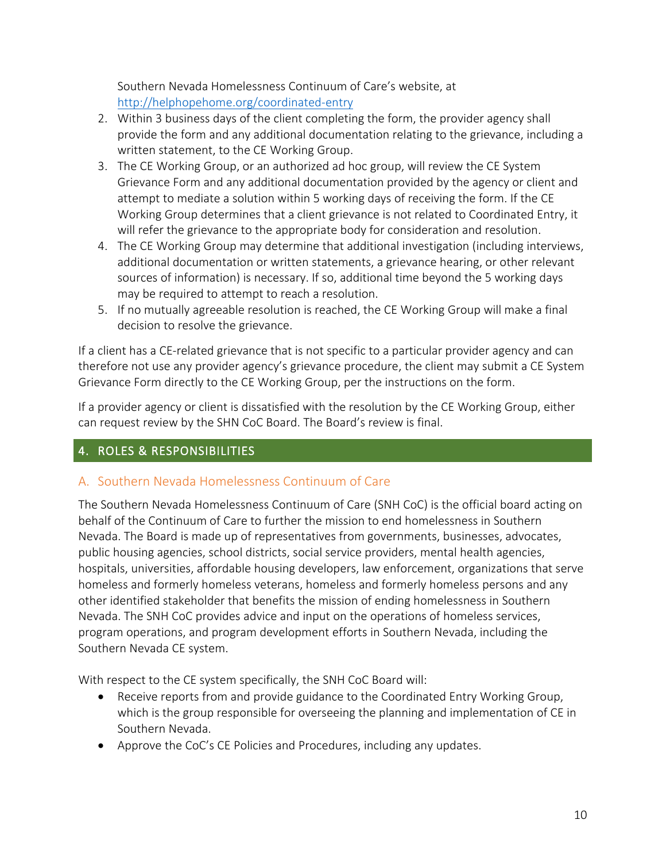Southern Nevada Homelessness Continuum of Care's website, at <http://helphopehome.org/coordinated-entry>

- 2. Within 3 business days of the client completing the form, the provider agency shall provide the form and any additional documentation relating to the grievance, including a written statement, to the CE Working Group.
- 3. The CE Working Group, or an authorized ad hoc group, will review the CE System Grievance Form and any additional documentation provided by the agency or client and attempt to mediate a solution within 5 working days of receiving the form. If the CE Working Group determines that a client grievance is not related to Coordinated Entry, it will refer the grievance to the appropriate body for consideration and resolution.
- 4. The CE Working Group may determine that additional investigation (including interviews, additional documentation or written statements, a grievance hearing, or other relevant sources of information) is necessary. If so, additional time beyond the 5 working days may be required to attempt to reach a resolution.
- 5. If no mutually agreeable resolution is reached, the CE Working Group will make a final decision to resolve the grievance.

If a client has a CE-related grievance that is not specific to a particular provider agency and can therefore not use any provider agency's grievance procedure, the client may submit a CE System Grievance Form directly to the CE Working Group, per the instructions on the form.

If a provider agency or client is dissatisfied with the resolution by the CE Working Group, either can request review by the SHN CoC Board. The Board's review is final.

# <span id="page-9-0"></span>4. ROLES & RESPONSIBILITIES

# <span id="page-9-1"></span>A. Southern Nevada Homelessness Continuum of Care

The Southern Nevada Homelessness Continuum of Care (SNH CoC) is the official board acting on behalf of the Continuum of Care to further the mission to end homelessness in Southern Nevada. The Board is made up of representatives from governments, businesses, advocates, public housing agencies, school districts, social service providers, mental health agencies, hospitals, universities, affordable housing developers, law enforcement, organizations that serve homeless and formerly homeless veterans, homeless and formerly homeless persons and any other identified stakeholder that benefits the mission of ending homelessness in Southern Nevada. The SNH CoC provides advice and input on the operations of homeless services, program operations, and program development efforts in Southern Nevada, including the Southern Nevada CE system.

With respect to the CE system specifically, the SNH CoC Board will:

- Receive reports from and provide guidance to the Coordinated Entry Working Group, which is the group responsible for overseeing the planning and implementation of CE in Southern Nevada.
- Approve the CoC's CE Policies and Procedures, including any updates.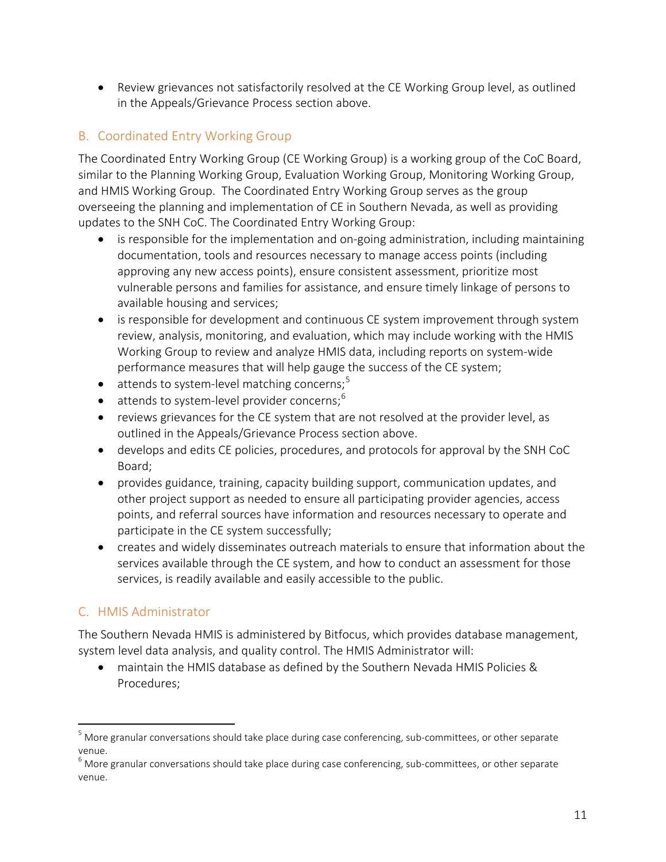• Review grievances not satisfactorily resolved at the CE Working Group level, as outlined in the Appeals/Grievance Process section above.

# <span id="page-10-0"></span>B. Coordinated Entry Working Group

The Coordinated Entry Working Group (CE Working Group) is a working group of the CoC Board, similar to the Planning Working Group, Evaluation Working Group, Monitoring Working Group, and HMIS Working Group. The Coordinated Entry Working Group serves as the group overseeing the planning and implementation of CE in Southern Nevada, as well as providing updates to the SNH CoC. The Coordinated Entry Working Group:

- is responsible for the implementation and on-going administration, including maintaining documentation, tools and resources necessary to manage access points (including approving any new access points), ensure consistent assessment, prioritize most vulnerable persons and families for assistance, and ensure timely linkage of persons to available housing and services;
- is responsible for development and continuous CE system improvement through system review, analysis, monitoring, and evaluation, which may include working with the HMIS Working Group to review and analyze HMIS data, including reports on system-wide performance measures that will help gauge the success of the CE system;
- $\bullet$  attends to system-level matching concerns;<sup>[5](#page-10-2)</sup>
- $\bullet$  attends to system-level provider concerns;<sup>[6](#page-10-3)</sup>
- reviews grievances for the CE system that are not resolved at the provider level, as outlined in the Appeals/Grievance Process section above.
- develops and edits CE policies, procedures, and protocols for approval by the SNH CoC Board;
- provides guidance, training, capacity building support, communication updates, and other project support as needed to ensure all participating provider agencies, access points, and referral sources have information and resources necessary to operate and participate in the CE system successfully;
- creates and widely disseminates outreach materials to ensure that information about the services available through the CE system, and how to conduct an assessment for those services, is readily available and easily accessible to the public.

## <span id="page-10-1"></span>C. HMIS Administrator

The Southern Nevada HMIS is administered by Bitfocus, which provides database management, system level data analysis, and quality control. The HMIS Administrator will:

• maintain the HMIS database as defined by the Southern Nevada HMIS Policies & Procedures;

<span id="page-10-2"></span> $<sup>5</sup>$  More granular conversations should take place during case conferencing, sub-committees, or other separate</sup> venue.

<span id="page-10-3"></span> $6$  More granular conversations should take place during case conferencing, sub-committees, or other separate venue.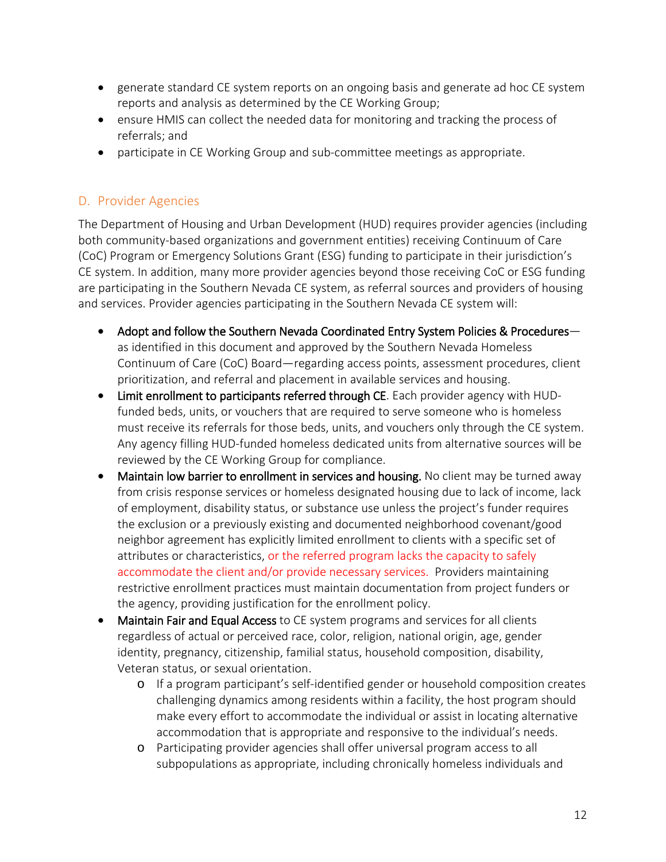- generate standard CE system reports on an ongoing basis and generate ad hoc CE system reports and analysis as determined by the CE Working Group;
- ensure HMIS can collect the needed data for monitoring and tracking the process of referrals; and
- participate in CE Working Group and sub-committee meetings as appropriate.

# <span id="page-11-0"></span>D. Provider Agencies

The Department of Housing and Urban Development (HUD) requires provider agencies (including both community-based organizations and government entities) receiving Continuum of Care (CoC) Program or Emergency Solutions Grant (ESG) funding to participate in their jurisdiction's CE system. In addition, many more provider agencies beyond those receiving CoC or ESG funding are participating in the Southern Nevada CE system, as referral sources and providers of housing and services. Provider agencies participating in the Southern Nevada CE system will:

- Adopt and follow the Southern Nevada Coordinated Entry System Policies & Procedures as identified in this document and approved by the Southern Nevada Homeless Continuum of Care (CoC) Board—regarding access points, assessment procedures, client prioritization, and referral and placement in available services and housing.
- Limit enrollment to participants referred through CE. Each provider agency with HUDfunded beds, units, or vouchers that are required to serve someone who is homeless must receive its referrals for those beds, units, and vouchers only through the CE system. Any agency filling HUD-funded homeless dedicated units from alternative sources will be reviewed by the CE Working Group for compliance.
- Maintain low barrier to enrollment in services and housing. No client may be turned away from crisis response services or homeless designated housing due to lack of income, lack of employment, disability status, or substance use unless the project's funder requires the exclusion or a previously existing and documented neighborhood covenant/good neighbor agreement has explicitly limited enrollment to clients with a specific set of attributes or characteristics, or the referred program lacks the capacity to safely accommodate the client and/or provide necessary services. Providers maintaining restrictive enrollment practices must maintain documentation from project funders or the agency, providing justification for the enrollment policy.
- Maintain Fair and Equal Access to CE system programs and services for all clients regardless of actual or perceived race, color, religion, national origin, age, gender identity, pregnancy, citizenship, familial status, household composition, disability, Veteran status, or sexual orientation.
	- o If a program participant's self-identified gender or household composition creates challenging dynamics among residents within a facility, the host program should make every effort to accommodate the individual or assist in locating alternative accommodation that is appropriate and responsive to the individual's needs.
	- o Participating provider agencies shall offer universal program access to all subpopulations as appropriate, including chronically homeless individuals and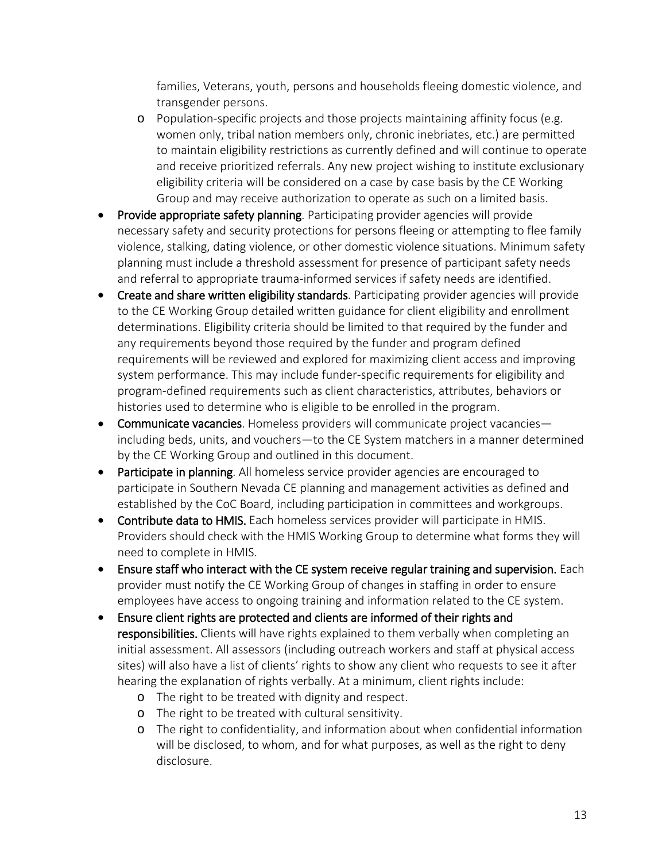families, Veterans, youth, persons and households fleeing domestic violence, and transgender persons.

- o Population-specific projects and those projects maintaining affinity focus (e.g. women only, tribal nation members only, chronic inebriates, etc.) are permitted to maintain eligibility restrictions as currently defined and will continue to operate and receive prioritized referrals. Any new project wishing to institute exclusionary eligibility criteria will be considered on a case by case basis by the CE Working Group and may receive authorization to operate as such on a limited basis.
- Provide appropriate safety planning. Participating provider agencies will provide necessary safety and security protections for persons fleeing or attempting to flee family violence, stalking, dating violence, or other domestic violence situations. Minimum safety planning must include a threshold assessment for presence of participant safety needs and referral to appropriate trauma-informed services if safety needs are identified.
- Create and share written eligibility standards. Participating provider agencies will provide to the CE Working Group detailed written guidance for client eligibility and enrollment determinations. Eligibility criteria should be limited to that required by the funder and any requirements beyond those required by the funder and program defined requirements will be reviewed and explored for maximizing client access and improving system performance. This may include funder-specific requirements for eligibility and program-defined requirements such as client characteristics, attributes, behaviors or histories used to determine who is eligible to be enrolled in the program.
- Communicate vacancies. Homeless providers will communicate project vacancies including beds, units, and vouchers—to the CE System matchers in a manner determined by the CE Working Group and outlined in this document.
- Participate in planning. All homeless service provider agencies are encouraged to participate in Southern Nevada CE planning and management activities as defined and established by the CoC Board, including participation in committees and workgroups.
- Contribute data to HMIS. Each homeless services provider will participate in HMIS. Providers should check with the HMIS Working Group to determine what forms they will need to complete in HMIS.
- Ensure staff who interact with the CE system receive regular training and supervision. Each provider must notify the CE Working Group of changes in staffing in order to ensure employees have access to ongoing training and information related to the CE system.
- Ensure client rights are protected and clients are informed of their rights and responsibilities. Clients will have rights explained to them verbally when completing an initial assessment. All assessors (including outreach workers and staff at physical access sites) will also have a list of clients' rights to show any client who requests to see it after hearing the explanation of rights verbally. At a minimum, client rights include:
	- o The right to be treated with dignity and respect.
	- o The right to be treated with cultural sensitivity.
	- o The right to confidentiality, and information about when confidential information will be disclosed, to whom, and for what purposes, as well as the right to deny disclosure.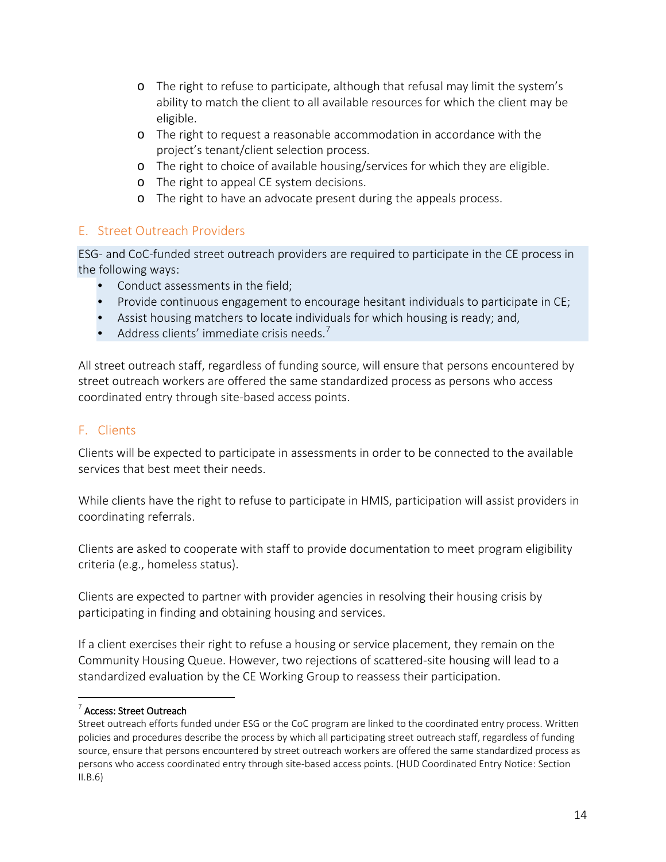- o The right to refuse to participate, although that refusal may limit the system's ability to match the client to all available resources for which the client may be eligible.
- o The right to request a reasonable accommodation in accordance with the project's tenant/client selection process.
- o The right to choice of available housing/services for which they are eligible.
- o The right to appeal CE system decisions.
- o The right to have an advocate present during the appeals process.

## <span id="page-13-0"></span>E. Street Outreach Providers

ESG- and CoC-funded street outreach providers are required to participate in the CE process in the following ways:

- Conduct assessments in the field;
- Provide continuous engagement to encourage hesitant individuals to participate in CE;
- Assist housing matchers to locate individuals for which housing is ready; and,
- Address clients' immediate crisis needs. $<sup>7</sup>$  $<sup>7</sup>$  $<sup>7</sup>$ </sup>

All street outreach staff, regardless of funding source, will ensure that persons encountered by street outreach workers are offered the same standardized process as persons who access coordinated entry through site-based access points.

## <span id="page-13-1"></span>F. Clients

Clients will be expected to participate in assessments in order to be connected to the available services that best meet their needs.

While clients have the right to refuse to participate in HMIS, participation will assist providers in coordinating referrals.

Clients are asked to cooperate with staff to provide documentation to meet program eligibility criteria (e.g., homeless status).

Clients are expected to partner with provider agencies in resolving their housing crisis by participating in finding and obtaining housing and services.

If a client exercises their right to refuse a housing or service placement, they remain on the Community Housing Queue. However, two rejections of scattered-site housing will lead to a standardized evaluation by the CE Working Group to reassess their participation.

#### <span id="page-13-2"></span><sup>7</sup> Access: Street Outreach

Street outreach efforts funded under ESG or the CoC program are linked to the coordinated entry process. Written policies and procedures describe the process by which all participating street outreach staff, regardless of funding source, ensure that persons encountered by street outreach workers are offered the same standardized process as persons who access coordinated entry through site-based access points. (HUD Coordinated Entry Notice: Section  $II.B.6)$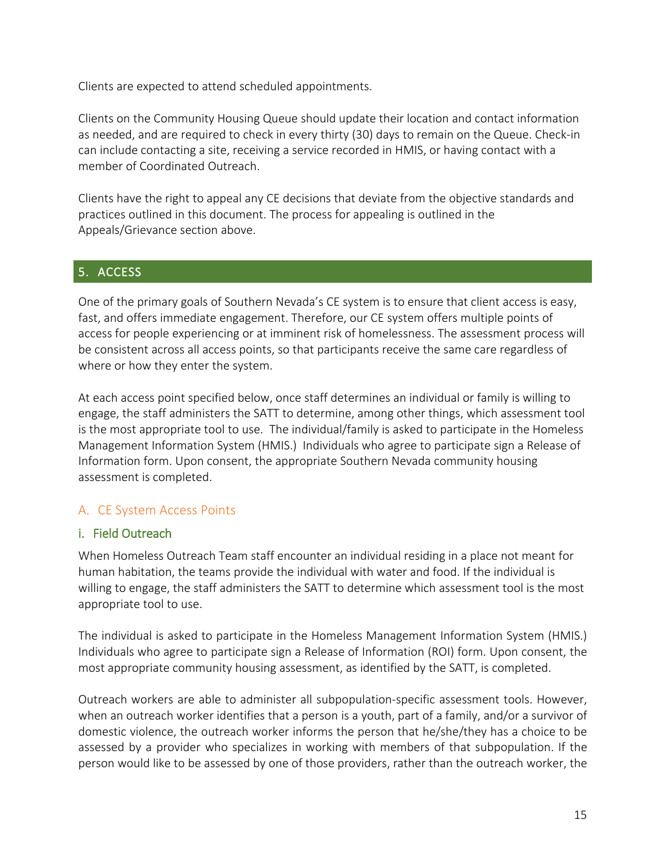Clients are expected to attend scheduled appointments.

Clients on the Community Housing Queue should update their location and contact information as needed, and are required to check in every thirty (30) days to remain on the Queue. Check-in can include contacting a site, receiving a service recorded in HMIS, or having contact with a member of Coordinated Outreach.

Clients have the right to appeal any CE decisions that deviate from the objective standards and practices outlined in this document. The process for appealing is outlined in the Appeals/Grievance section above.

## <span id="page-14-0"></span>5. ACCESS

One of the primary goals of Southern Nevada's CE system is to ensure that client access is easy, fast, and offers immediate engagement. Therefore, our CE system offers multiple points of access for people experiencing or at imminent risk of homelessness. The assessment process will be consistent across all access points, so that participants receive the same care regardless of where or how they enter the system.

At each access point specified below, once staff determines an individual or family is willing to engage, the staff administers the SATT to determine, among other things, which assessment tool is the most appropriate tool to use. The individual/family is asked to participate in the Homeless Management Information System (HMIS.) Individuals who agree to participate sign a Release of Information form. Upon consent, the appropriate Southern Nevada community housing assessment is completed.

## <span id="page-14-1"></span>A. CE System Access Points

#### <span id="page-14-2"></span>i. Field Outreach

When Homeless Outreach Team staff encounter an individual residing in a place not meant for human habitation, the teams provide the individual with water and food. If the individual is willing to engage, the staff administers the SATT to determine which assessment tool is the most appropriate tool to use.

The individual is asked to participate in the Homeless Management Information System (HMIS.) Individuals who agree to participate sign a Release of Information (ROI) form. Upon consent, the most appropriate community housing assessment, as identified by the SATT, is completed.

Outreach workers are able to administer all subpopulation-specific assessment tools. However, when an outreach worker identifies that a person is a youth, part of a family, and/or a survivor of domestic violence, the outreach worker informs the person that he/she/they has a choice to be assessed by a provider who specializes in working with members of that subpopulation. If the person would like to be assessed by one of those providers, rather than the outreach worker, the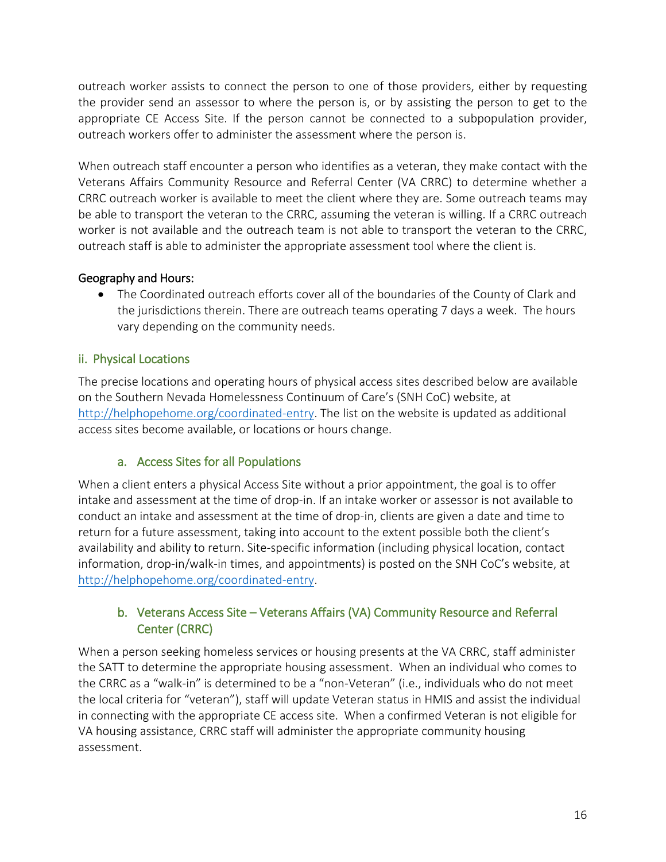outreach worker assists to connect the person to one of those providers, either by requesting the provider send an assessor to where the person is, or by assisting the person to get to the appropriate CE Access Site. If the person cannot be connected to a subpopulation provider, outreach workers offer to administer the assessment where the person is.

When outreach staff encounter a person who identifies as a veteran, they make contact with the Veterans Affairs Community Resource and Referral Center (VA CRRC) to determine whether a CRRC outreach worker is available to meet the client where they are. Some outreach teams may be able to transport the veteran to the CRRC, assuming the veteran is willing. If a CRRC outreach worker is not available and the outreach team is not able to transport the veteran to the CRRC, outreach staff is able to administer the appropriate assessment tool where the client is.

## Geography and Hours:

• The Coordinated outreach efforts cover all of the boundaries of the County of Clark and the jurisdictions therein. There are outreach teams operating 7 days a week. The hours vary depending on the community needs.

## <span id="page-15-0"></span>ii. Physical Locations

The precise locations and operating hours of physical access sites described below are available on the Southern Nevada Homelessness Continuum of Care's (SNH CoC) website, at [http://helphopehome.org/coordinated-entry.](http://helphopehome.org/coordinated-entry) The list on the website is updated as additional access sites become available, or locations or hours change.

## a. Access Sites for all Populations

<span id="page-15-1"></span>When a client enters a physical Access Site without a prior appointment, the goal is to offer intake and assessment at the time of drop-in. If an intake worker or assessor is not available to conduct an intake and assessment at the time of drop-in, clients are given a date and time to return for a future assessment, taking into account to the extent possible both the client's availability and ability to return. Site-specific information (including physical location, contact information, drop-in/walk-in times, and appointments) is posted on the SNH CoC's website, at [http://helphopehome.org/coordinated-entry.](http://helphopehome.org/coordinated-entry)

# b. Veterans Access Site – Veterans Affairs (VA) Community Resource and Referral Center (CRRC)

<span id="page-15-2"></span>When a person seeking homeless services or housing presents at the VA CRRC, staff administer the SATT to determine the appropriate housing assessment. When an individual who comes to the CRRC as a "walk-in" is determined to be a "non-Veteran" (i.e., individuals who do not meet the local criteria for "veteran"), staff will update Veteran status in HMIS and assist the individual in connecting with the appropriate CE access site. When a confirmed Veteran is not eligible for VA housing assistance, CRRC staff will administer the appropriate community housing assessment.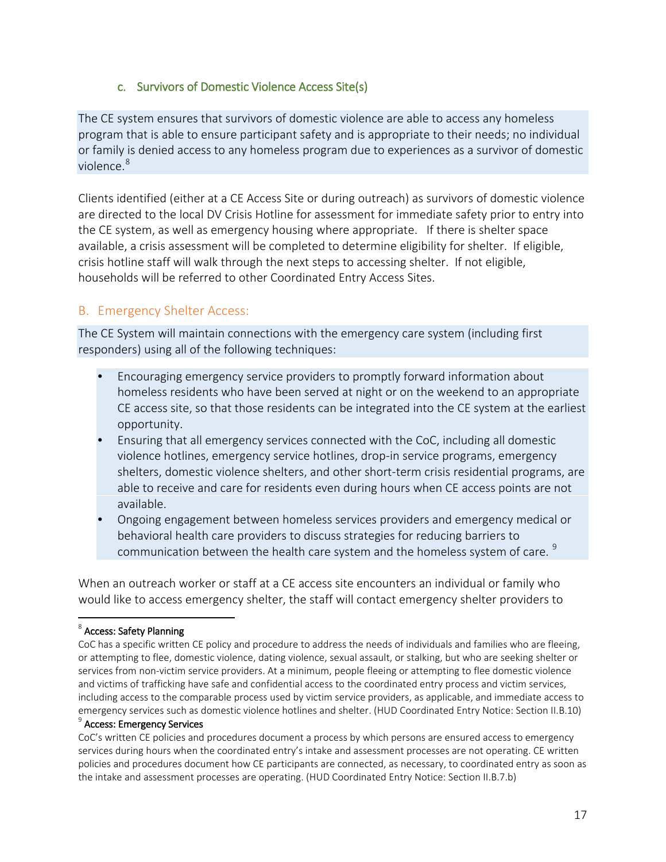#### c. Survivors of Domestic Violence Access Site(s)

The CE system ensures that survivors of domestic violence are able to access any homeless program that is able to ensure participant safety and is appropriate to their needs; no individual or family is denied access to any homeless program due to experiences as a survivor of domestic violence.<sup>[8](#page-16-1)</sup>

Clients identified (either at a CE Access Site or during outreach) as survivors of domestic violence are directed to the local DV Crisis Hotline for assessment for immediate safety prior to entry into the CE system, as well as emergency housing where appropriate. If there is shelter space available, a crisis assessment will be completed to determine eligibility for shelter. If eligible, crisis hotline staff will walk through the next steps to accessing shelter. If not eligible, households will be referred to other Coordinated Entry Access Sites.

#### <span id="page-16-0"></span>B. Emergency Shelter Access:

The CE System will maintain connections with the emergency care system (including first responders) using all of the following techniques:

- Encouraging emergency service providers to promptly forward information about homeless residents who have been served at night or on the weekend to an appropriate CE access site, so that those residents can be integrated into the CE system at the earliest opportunity.
- Ensuring that all emergency services connected with the CoC, including all domestic violence hotlines, emergency service hotlines, drop-in service programs, emergency shelters, domestic violence shelters, and other short-term crisis residential programs, are able to receive and care for residents even during hours when CE access points are not available.
- Ongoing engagement between homeless services providers and emergency medical or behavioral health care providers to discuss strategies for reducing barriers to communication between the health care system and the homeless system of care. <sup>[9](#page-16-2)</sup>

When an outreach worker or staff at a CE access site encounters an individual or family who would like to access emergency shelter, the staff will contact emergency shelter providers to

#### <span id="page-16-1"></span><sup>8</sup> Access: Safety Planning

#### <span id="page-16-2"></span><sup>9</sup> Access: Emergency Services

CoC's written CE policies and procedures document a process by which persons are ensured access to emergency services during hours when the coordinated entry's intake and assessment processes are not operating. CE written policies and procedures document how CE participants are connected, as necessary, to coordinated entry as soon as the intake and assessment processes are operating. (HUD Coordinated Entry Notice: Section II.B.7.b)

CoC has a specific written CE policy and procedure to address the needs of individuals and families who are fleeing, or attempting to flee, domestic violence, dating violence, sexual assault, or stalking, but who are seeking shelter or services from non-victim service providers. At a minimum, people fleeing or attempting to flee domestic violence and victims of trafficking have safe and confidential access to the coordinated entry process and victim services, including access to the comparable process used by victim service providers, as applicable, and immediate access to emergency services such as domestic violence hotlines and shelter. (HUD Coordinated Entry Notice: Section II.B.10)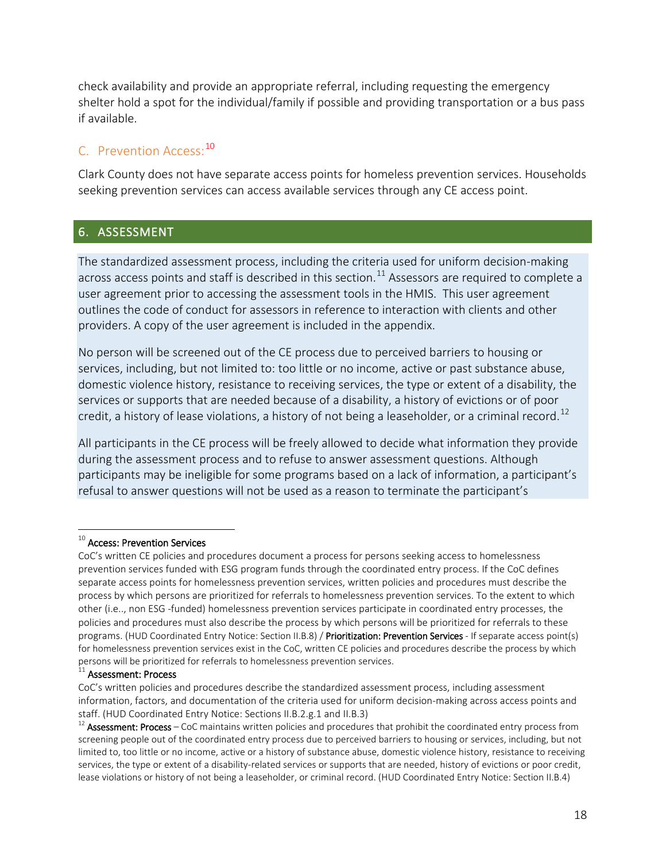check availability and provide an appropriate referral, including requesting the emergency shelter hold a spot for the individual/family if possible and providing transportation or a bus pass if available.

# <span id="page-17-0"></span>C. Prevention Access: [10](#page-17-2)

Clark County does not have separate access points for homeless prevention services. Households seeking prevention services can access available services through any CE access point.

## <span id="page-17-1"></span>6. ASSESSMENT

The standardized assessment process, including the criteria used for uniform decision-making across access points and staff is described in this section.<sup>[11](#page-17-3)</sup> Assessors are required to complete a user agreement prior to accessing the assessment tools in the HMIS. This user agreement outlines the code of conduct for assessors in reference to interaction with clients and other providers. A copy of the user agreement is included in the appendix.

No person will be screened out of the CE process due to perceived barriers to housing or services, including, but not limited to: too little or no income, active or past substance abuse, domestic violence history, resistance to receiving services, the type or extent of a disability, the services or supports that are needed because of a disability, a history of evictions or of poor credit, a history of lease violations, a history of not being a leaseholder, or a criminal record.<sup>[12](#page-17-4)</sup>

All participants in the CE process will be freely allowed to decide what information they provide during the assessment process and to refuse to answer assessment questions. Although participants may be ineligible for some programs based on a lack of information, a participant's refusal to answer questions will not be used as a reason to terminate the participant's

#### <span id="page-17-2"></span> $^{10}$  Access: Prevention Services

CoC's written CE policies and procedures document a process for persons seeking access to homelessness prevention services funded with ESG program funds through the coordinated entry process. If the CoC defines separate access points for homelessness prevention services, written policies and procedures must describe the process by which persons are prioritized for referrals to homelessness prevention services. To the extent to which other (i.e.., non ESG -funded) homelessness prevention services participate in coordinated entry processes, the policies and procedures must also describe the process by which persons will be prioritized for referrals to these programs. (HUD Coordinated Entry Notice: Section II.B.8) / Prioritization: Prevention Services - If separate access point(s) for homelessness prevention services exist in the CoC, written CE policies and procedures describe the process by which persons will be prioritized for referrals to homelessness prevention services.

<span id="page-17-3"></span> $11$  Assessment: Process

CoC's written policies and procedures describe the standardized assessment process, including assessment information, factors, and documentation of the criteria used for uniform decision-making across access points and staff. (HUD Coordinated Entry Notice: Sections II.B.2.g.1 and II.B.3)

<span id="page-17-4"></span> $12$  Assessment: Process – CoC maintains written policies and procedures that prohibit the coordinated entry process from screening people out of the coordinated entry process due to perceived barriers to housing or services, including, but not limited to, too little or no income, active or a history of substance abuse, domestic violence history, resistance to receiving services, the type or extent of a disability-related services or supports that are needed, history of evictions or poor credit, lease violations or history of not being a leaseholder, or criminal record. (HUD Coordinated Entry Notice: Section II.B.4)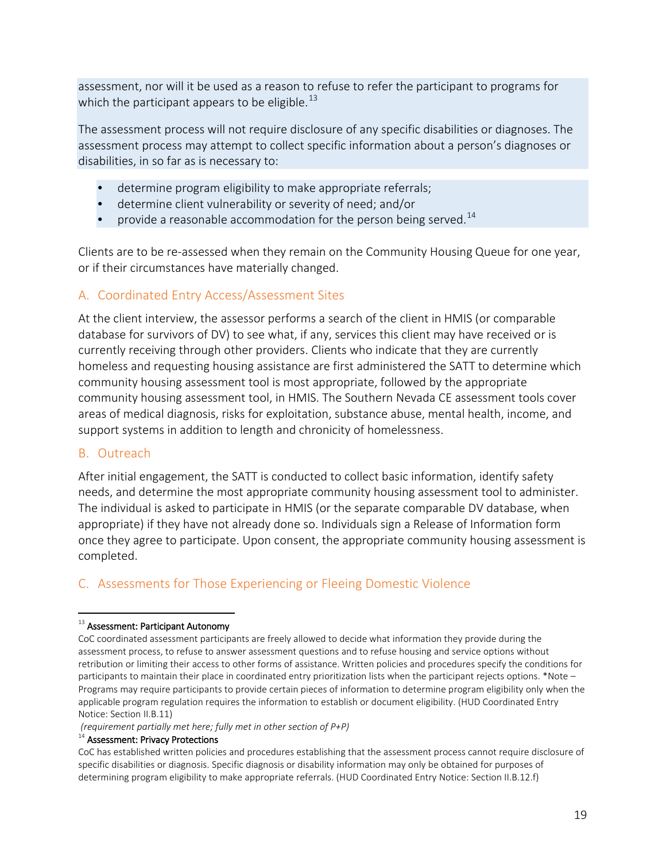assessment, nor will it be used as a reason to refuse to refer the participant to programs for which the participant appears to be eligible.<sup>[13](#page-18-3)</sup>

The assessment process will not require disclosure of any specific disabilities or diagnoses. The assessment process may attempt to collect specific information about a person's diagnoses or disabilities, in so far as is necessary to:

- determine program eligibility to make appropriate referrals;
- determine client vulnerability or severity of need; and/or
- provide a reasonable accommodation for the person being served.<sup>[14](#page-18-4)</sup>

Clients are to be re-assessed when they remain on the Community Housing Queue for one year, or if their circumstances have materially changed.

#### <span id="page-18-0"></span>A. Coordinated Entry Access/Assessment Sites

At the client interview, the assessor performs a search of the client in HMIS (or comparable database for survivors of DV) to see what, if any, services this client may have received or is currently receiving through other providers. Clients who indicate that they are currently homeless and requesting housing assistance are first administered the SATT to determine which community housing assessment tool is most appropriate, followed by the appropriate community housing assessment tool, in HMIS. The Southern Nevada CE assessment tools cover areas of medical diagnosis, risks for exploitation, substance abuse, mental health, income, and support systems in addition to length and chronicity of homelessness.

#### <span id="page-18-1"></span>B. Outreach

After initial engagement, the SATT is conducted to collect basic information, identify safety needs, and determine the most appropriate community housing assessment tool to administer. The individual is asked to participate in HMIS (or the separate comparable DV database, when appropriate) if they have not already done so. Individuals sign a Release of Information form once they agree to participate. Upon consent, the appropriate community housing assessment is completed.

## <span id="page-18-2"></span>C. Assessments for Those Experiencing or Fleeing Domestic Violence

#### <span id="page-18-3"></span> $13$  Assessment: Participant Autonomy

*(requirement partially met here; fully met in other section of P+P)*

#### <span id="page-18-4"></span><sup>14</sup> Assessment: Privacy Protections

CoC has established written policies and procedures establishing that the assessment process cannot require disclosure of specific disabilities or diagnosis. Specific diagnosis or disability information may only be obtained for purposes of determining program eligibility to make appropriate referrals. (HUD Coordinated Entry Notice: Section II.B.12.f)

CoC coordinated assessment participants are freely allowed to decide what information they provide during the assessment process, to refuse to answer assessment questions and to refuse housing and service options without retribution or limiting their access to other forms of assistance. Written policies and procedures specify the conditions for participants to maintain their place in coordinated entry prioritization lists when the participant rejects options. \*Note – Programs may require participants to provide certain pieces of information to determine program eligibility only when the applicable program regulation requires the information to establish or document eligibility. (HUD Coordinated Entry Notice: Section II.B.11)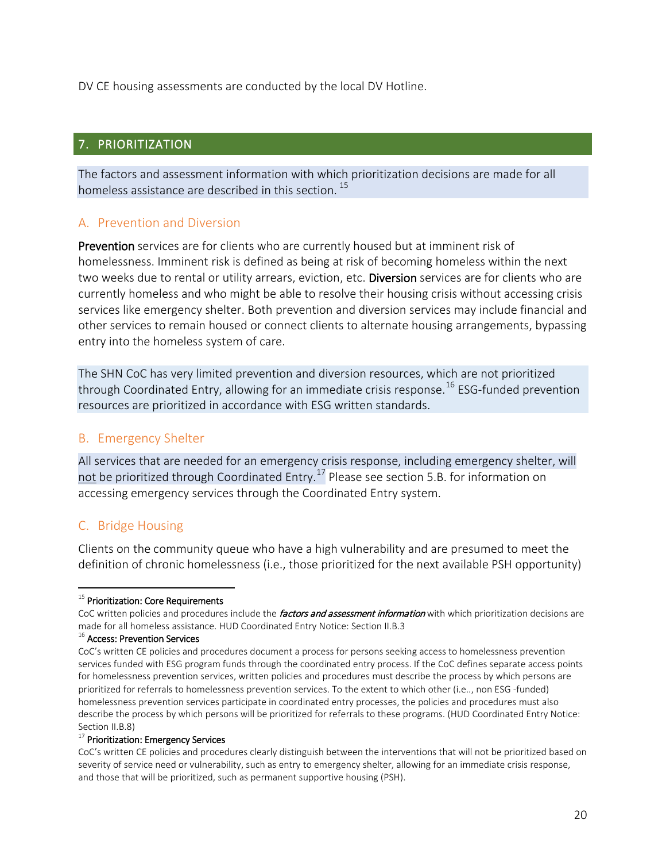DV CE housing assessments are conducted by the local DV Hotline.

# <span id="page-19-0"></span>7. PRIORITIZATION

The factors and assessment information with which prioritization decisions are made for all homeless assistance are described in this section.<sup>[15](#page-19-4)</sup>

## <span id="page-19-1"></span>A. Prevention and Diversion

Prevention services are for clients who are currently housed but at imminent risk of homelessness. Imminent risk is defined as being at risk of becoming homeless within the next two weeks due to rental or utility arrears, eviction, etc. Diversion services are for clients who are currently homeless and who might be able to resolve their housing crisis without accessing crisis services like emergency shelter. Both prevention and diversion services may include financial and other services to remain housed or connect clients to alternate housing arrangements, bypassing entry into the homeless system of care.

The SHN CoC has very limited prevention and diversion resources, which are not prioritized through Coordinated Entry, allowing for an immediate crisis response. [16](#page-19-5) ESG-funded prevention resources are prioritized in accordance with ESG written standards.

## <span id="page-19-2"></span>B. Emergency Shelter

All services that are needed for an emergency crisis response, including emergency shelter, will not be prioritized through Coordinated Entry.<sup>[17](#page-19-6)</sup> Please see section 5.B. for information on accessing emergency services through the Coordinated Entry system.

## <span id="page-19-3"></span>C. Bridge Housing

Clients on the community queue who have a high vulnerability and are presumed to meet the definition of chronic homelessness (i.e., those prioritized for the next available PSH opportunity)

#### <span id="page-19-6"></span> $17$  Prioritization: Emergency Services

<span id="page-19-4"></span><sup>&</sup>lt;sup>15</sup> Prioritization: Core Requirements

CoC written policies and procedures include the *factors and assessment information* with which prioritization decisions are made for all homeless assistance. HUD Coordinated Entry Notice: Section II.B.3

<span id="page-19-5"></span><sup>&</sup>lt;sup>16</sup> Access: Prevention Services

CoC's written CE policies and procedures document a process for persons seeking access to homelessness prevention services funded with ESG program funds through the coordinated entry process. If the CoC defines separate access points for homelessness prevention services, written policies and procedures must describe the process by which persons are prioritized for referrals to homelessness prevention services. To the extent to which other (i.e.., non ESG -funded) homelessness prevention services participate in coordinated entry processes, the policies and procedures must also describe the process by which persons will be prioritized for referrals to these programs. (HUD Coordinated Entry Notice: Section II.B.8)

CoC's written CE policies and procedures clearly distinguish between the interventions that will not be prioritized based on severity of service need or vulnerability, such as entry to emergency shelter, allowing for an immediate crisis response, and those that will be prioritized, such as permanent supportive housing (PSH).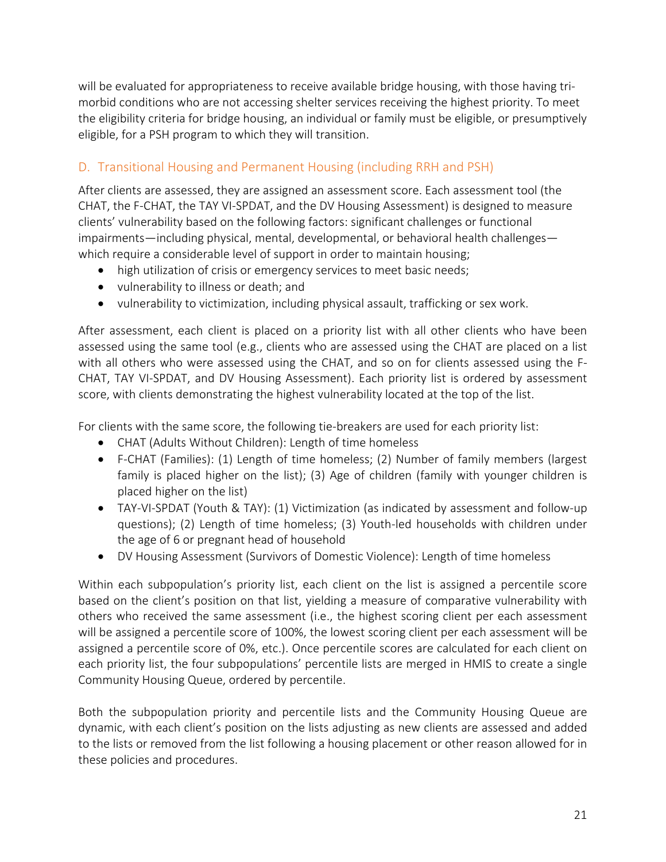will be evaluated for appropriateness to receive available bridge housing, with those having trimorbid conditions who are not accessing shelter services receiving the highest priority. To meet the eligibility criteria for bridge housing, an individual or family must be eligible, or presumptively eligible, for a PSH program to which they will transition.

# <span id="page-20-0"></span>D. Transitional Housing and Permanent Housing (including RRH and PSH)

After clients are assessed, they are assigned an assessment score. Each assessment tool (the CHAT, the F-CHAT, the TAY VI-SPDAT, and the DV Housing Assessment) is designed to measure clients' vulnerability based on the following factors: significant challenges or functional impairments—including physical, mental, developmental, or behavioral health challenges which require a considerable level of support in order to maintain housing;

- high utilization of crisis or emergency services to meet basic needs;
- vulnerability to illness or death; and
- vulnerability to victimization, including physical assault, trafficking or sex work.

After assessment, each client is placed on a priority list with all other clients who have been assessed using the same tool (e.g., clients who are assessed using the CHAT are placed on a list with all others who were assessed using the CHAT, and so on for clients assessed using the F-CHAT, TAY VI-SPDAT, and DV Housing Assessment). Each priority list is ordered by assessment score, with clients demonstrating the highest vulnerability located at the top of the list.

For clients with the same score, the following tie-breakers are used for each priority list:

- CHAT (Adults Without Children): Length of time homeless
- F-CHAT (Families): (1) Length of time homeless; (2) Number of family members (largest family is placed higher on the list); (3) Age of children (family with younger children is placed higher on the list)
- TAY-VI-SPDAT (Youth & TAY): (1) Victimization (as indicated by assessment and follow-up questions); (2) Length of time homeless; (3) Youth-led households with children under the age of 6 or pregnant head of household
- DV Housing Assessment (Survivors of Domestic Violence): Length of time homeless

Within each subpopulation's priority list, each client on the list is assigned a percentile score based on the client's position on that list, yielding a measure of comparative vulnerability with others who received the same assessment (i.e., the highest scoring client per each assessment will be assigned a percentile score of 100%, the lowest scoring client per each assessment will be assigned a percentile score of 0%, etc.). Once percentile scores are calculated for each client on each priority list, the four subpopulations' percentile lists are merged in HMIS to create a single Community Housing Queue, ordered by percentile.

Both the subpopulation priority and percentile lists and the Community Housing Queue are dynamic, with each client's position on the lists adjusting as new clients are assessed and added to the lists or removed from the list following a housing placement or other reason allowed for in these policies and procedures.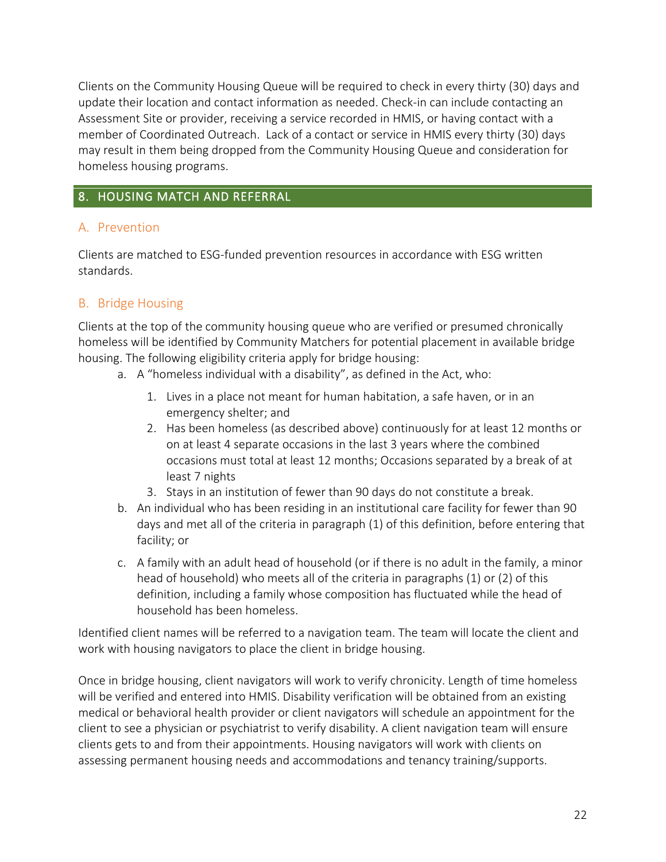Clients on the Community Housing Queue will be required to check in every thirty (30) days and update their location and contact information as needed. Check-in can include contacting an Assessment Site or provider, receiving a service recorded in HMIS, or having contact with a member of Coordinated Outreach. Lack of a contact or service in HMIS every thirty (30) days may result in them being dropped from the Community Housing Queue and consideration for homeless housing programs.

# <span id="page-21-0"></span>8. HOUSING MATCH AND REFERRAL

# <span id="page-21-1"></span>A. Prevention

Clients are matched to ESG-funded prevention resources in accordance with ESG written standards.

# <span id="page-21-2"></span>B. Bridge Housing

Clients at the top of the community housing queue who are verified or presumed chronically homeless will be identified by Community Matchers for potential placement in available bridge housing. The following eligibility criteria apply for bridge housing:

- a. A "homeless individual with a disability", as defined in the Act, who:
	- 1. Lives in a place not meant for human habitation, a safe haven, or in an emergency shelter; and
	- 2. Has been homeless (as described above) continuously for at least 12 months or on at least 4 separate occasions in the last 3 years where the combined occasions must total at least 12 months; Occasions separated by a break of at least 7 nights
	- 3. Stays in an institution of fewer than 90 days do not constitute a break.
- b. An individual who has been residing in an institutional care facility for fewer than 90 days and met all of the criteria in paragraph (1) of this definition, before entering that facility; or
- c. A family with an adult head of household (or if there is no adult in the family, a minor head of household) who meets all of the criteria in paragraphs (1) or (2) of this definition, including a family whose composition has fluctuated while the head of household has been homeless.

Identified client names will be referred to a navigation team. The team will locate the client and work with housing navigators to place the client in bridge housing.

Once in bridge housing, client navigators will work to verify chronicity. Length of time homeless will be verified and entered into HMIS. Disability verification will be obtained from an existing medical or behavioral health provider or client navigators will schedule an appointment for the client to see a physician or psychiatrist to verify disability. A client navigation team will ensure clients gets to and from their appointments. Housing navigators will work with clients on assessing permanent housing needs and accommodations and tenancy training/supports.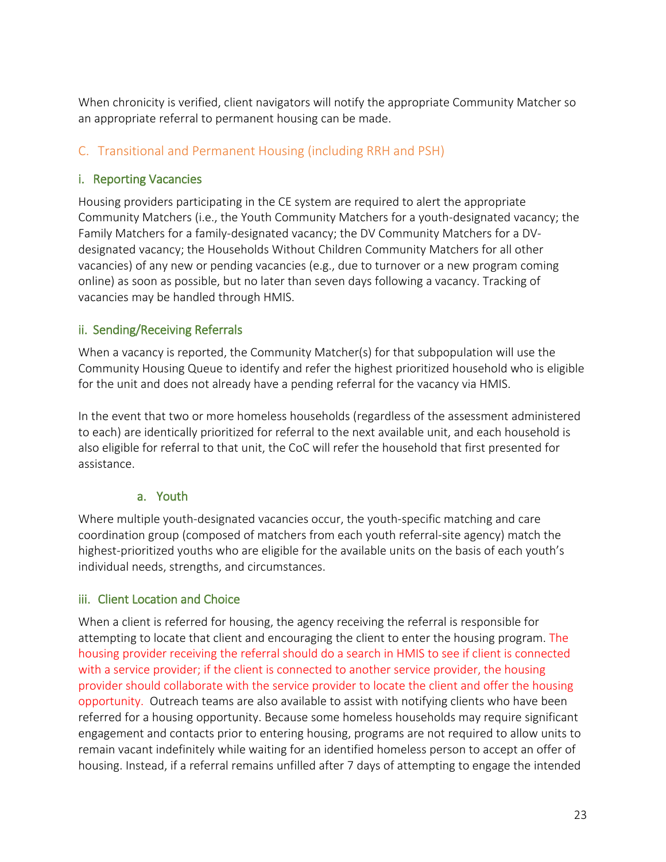When chronicity is verified, client navigators will notify the appropriate Community Matcher so an appropriate referral to permanent housing can be made.

# <span id="page-22-0"></span>C. Transitional and Permanent Housing (including RRH and PSH)

#### <span id="page-22-1"></span>i. Reporting Vacancies

Housing providers participating in the CE system are required to alert the appropriate Community Matchers (i.e., the Youth Community Matchers for a youth-designated vacancy; the Family Matchers for a family-designated vacancy; the DV Community Matchers for a DVdesignated vacancy; the Households Without Children Community Matchers for all other vacancies) of any new or pending vacancies (e.g., due to turnover or a new program coming online) as soon as possible, but no later than seven days following a vacancy. Tracking of vacancies may be handled through HMIS.

#### <span id="page-22-2"></span>ii. Sending/Receiving Referrals

When a vacancy is reported, the Community Matcher(s) for that subpopulation will use the Community Housing Queue to identify and refer the highest prioritized household who is eligible for the unit and does not already have a pending referral for the vacancy via HMIS.

In the event that two or more homeless households (regardless of the assessment administered to each) are identically prioritized for referral to the next available unit, and each household is also eligible for referral to that unit, the CoC will refer the household that first presented for assistance.

#### a. Youth

<span id="page-22-3"></span>Where multiple youth-designated vacancies occur, the youth-specific matching and care coordination group (composed of matchers from each youth referral-site agency) match the highest-prioritized youths who are eligible for the available units on the basis of each youth's individual needs, strengths, and circumstances.

## <span id="page-22-4"></span>iii. Client Location and Choice

When a client is referred for housing, the agency receiving the referral is responsible for attempting to locate that client and encouraging the client to enter the housing program. The housing provider receiving the referral should do a search in HMIS to see if client is connected with a service provider; if the client is connected to another service provider, the housing provider should collaborate with the service provider to locate the client and offer the housing opportunity. Outreach teams are also available to assist with notifying clients who have been referred for a housing opportunity. Because some homeless households may require significant engagement and contacts prior to entering housing, programs are not required to allow units to remain vacant indefinitely while waiting for an identified homeless person to accept an offer of housing. Instead, if a referral remains unfilled after 7 days of attempting to engage the intended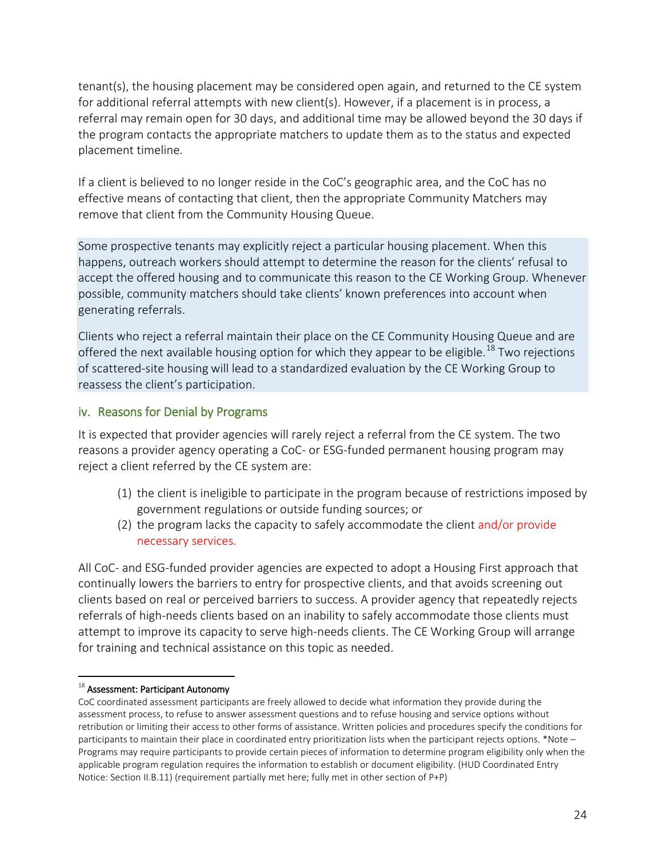tenant(s), the housing placement may be considered open again, and returned to the CE system for additional referral attempts with new client(s). However, if a placement is in process, a referral may remain open for 30 days, and additional time may be allowed beyond the 30 days if the program contacts the appropriate matchers to update them as to the status and expected placement timeline.

If a client is believed to no longer reside in the CoC's geographic area, and the CoC has no effective means of contacting that client, then the appropriate Community Matchers may remove that client from the Community Housing Queue.

Some prospective tenants may explicitly reject a particular housing placement. When this happens, outreach workers should attempt to determine the reason for the clients' refusal to accept the offered housing and to communicate this reason to the CE Working Group. Whenever possible, community matchers should take clients' known preferences into account when generating referrals.

Clients who reject a referral maintain their place on the CE Community Housing Queue and are offered the next available housing option for which they appear to be eligible.<sup>[18](#page-23-1)</sup> Two rejections of scattered-site housing will lead to a standardized evaluation by the CE Working Group to reassess the client's participation.

#### <span id="page-23-0"></span>iv. Reasons for Denial by Programs

It is expected that provider agencies will rarely reject a referral from the CE system. The two reasons a provider agency operating a CoC- or ESG-funded permanent housing program may reject a client referred by the CE system are:

- (1) the client is ineligible to participate in the program because of restrictions imposed by government regulations or outside funding sources; or
- (2) the program lacks the capacity to safely accommodate the client and/or provide necessary services.

All CoC- and ESG-funded provider agencies are expected to adopt a Housing First approach that continually lowers the barriers to entry for prospective clients, and that avoids screening out clients based on real or perceived barriers to success. A provider agency that repeatedly rejects referrals of high-needs clients based on an inability to safely accommodate those clients must attempt to improve its capacity to serve high-needs clients. The CE Working Group will arrange for training and technical assistance on this topic as needed.

<span id="page-23-1"></span><sup>&</sup>lt;sup>18</sup> Assessment: Participant Autonomy

CoC coordinated assessment participants are freely allowed to decide what information they provide during the assessment process, to refuse to answer assessment questions and to refuse housing and service options without retribution or limiting their access to other forms of assistance. Written policies and procedures specify the conditions for participants to maintain their place in coordinated entry prioritization lists when the participant rejects options. \*Note – Programs may require participants to provide certain pieces of information to determine program eligibility only when the applicable program regulation requires the information to establish or document eligibility. (HUD Coordinated Entry Notice: Section II.B.11) (requirement partially met here; fully met in other section of P+P)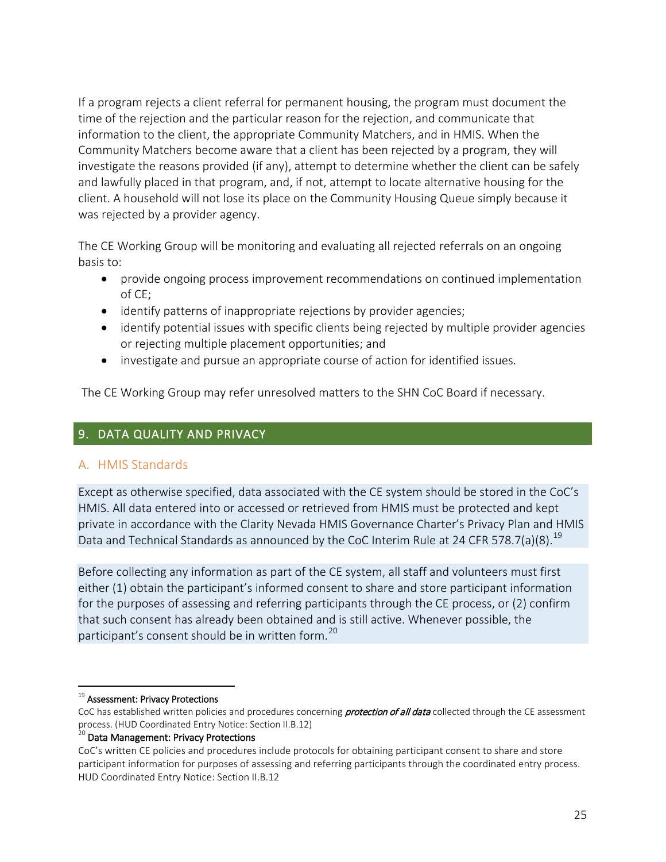If a program rejects a client referral for permanent housing, the program must document the time of the rejection and the particular reason for the rejection, and communicate that information to the client, the appropriate Community Matchers, and in HMIS. When the Community Matchers become aware that a client has been rejected by a program, they will investigate the reasons provided (if any), attempt to determine whether the client can be safely and lawfully placed in that program, and, if not, attempt to locate alternative housing for the client. A household will not lose its place on the Community Housing Queue simply because it was rejected by a provider agency.

The CE Working Group will be monitoring and evaluating all rejected referrals on an ongoing basis to:

- provide ongoing process improvement recommendations on continued implementation of CE;
- identify patterns of inappropriate rejections by provider agencies;
- identify potential issues with specific clients being rejected by multiple provider agencies or rejecting multiple placement opportunities; and
- investigate and pursue an appropriate course of action for identified issues.

The CE Working Group may refer unresolved matters to the SHN CoC Board if necessary.

## <span id="page-24-0"></span>9. DATA QUALITY AND PRIVACY

#### <span id="page-24-1"></span>A. HMIS Standards

Except as otherwise specified, data associated with the CE system should be stored in the CoC's HMIS. All data entered into or accessed or retrieved from HMIS must be protected and kept private in accordance with the Clarity Nevada HMIS Governance Charter's Privacy Plan and HMIS Data and Technical Standards as announced by the CoC Interim Rule at 24 CFR 578.7(a)(8).<sup>[19](#page-24-2)</sup>

Before collecting any information as part of the CE system, all staff and volunteers must first either (1) obtain the participant's informed consent to share and store participant information for the purposes of assessing and referring participants through the CE process, or (2) confirm that such consent has already been obtained and is still active. Whenever possible, the participant's consent should be in written form.<sup>[20](#page-24-3)</sup>

<span id="page-24-2"></span><sup>&</sup>lt;sup>19</sup> Assessment: Privacy Protections

CoC has established written policies and procedures concerning *protection of all data* collected through the CE assessment process. (HUD Coordinated Entry Notice: Section II.B.12)<br><sup>20</sup> Data Management: Privacy Protections

<span id="page-24-3"></span>CoC's written CE policies and procedures include protocols for obtaining participant consent to share and store participant information for purposes of assessing and referring participants through the coordinated entry process. HUD Coordinated Entry Notice: Section II.B.12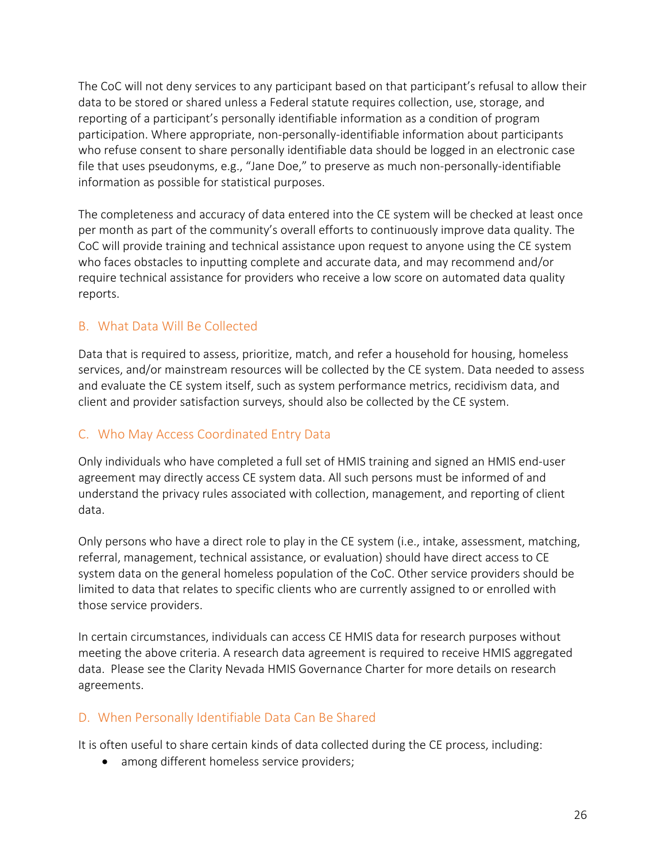The CoC will not deny services to any participant based on that participant's refusal to allow their data to be stored or shared unless a Federal statute requires collection, use, storage, and reporting of a participant's personally identifiable information as a condition of program participation. Where appropriate, non-personally-identifiable information about participants who refuse consent to share personally identifiable data should be logged in an electronic case file that uses pseudonyms, e.g., "Jane Doe," to preserve as much non-personally-identifiable information as possible for statistical purposes.

The completeness and accuracy of data entered into the CE system will be checked at least once per month as part of the community's overall efforts to continuously improve data quality. The CoC will provide training and technical assistance upon request to anyone using the CE system who faces obstacles to inputting complete and accurate data, and may recommend and/or require technical assistance for providers who receive a low score on automated data quality reports.

## <span id="page-25-0"></span>B. What Data Will Be Collected

Data that is required to assess, prioritize, match, and refer a household for housing, homeless services, and/or mainstream resources will be collected by the CE system. Data needed to assess and evaluate the CE system itself, such as system performance metrics, recidivism data, and client and provider satisfaction surveys, should also be collected by the CE system.

## <span id="page-25-1"></span>C. Who May Access Coordinated Entry Data

Only individuals who have completed a full set of HMIS training and signed an HMIS end-user agreement may directly access CE system data. All such persons must be informed of and understand the privacy rules associated with collection, management, and reporting of client data.

Only persons who have a direct role to play in the CE system (i.e., intake, assessment, matching, referral, management, technical assistance, or evaluation) should have direct access to CE system data on the general homeless population of the CoC. Other service providers should be limited to data that relates to specific clients who are currently assigned to or enrolled with those service providers.

In certain circumstances, individuals can access CE HMIS data for research purposes without meeting the above criteria. A research data agreement is required to receive HMIS aggregated data. Please see the Clarity Nevada HMIS Governance Charter for more details on research agreements.

## <span id="page-25-2"></span>D. When Personally Identifiable Data Can Be Shared

It is often useful to share certain kinds of data collected during the CE process, including:

• among different homeless service providers;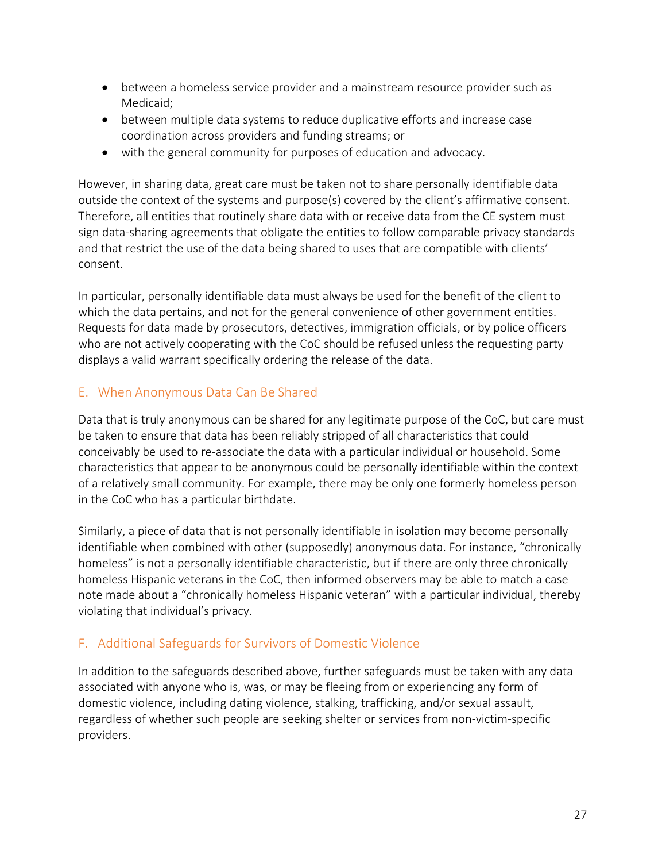- between a homeless service provider and a mainstream resource provider such as Medicaid;
- between multiple data systems to reduce duplicative efforts and increase case coordination across providers and funding streams; or
- with the general community for purposes of education and advocacy.

However, in sharing data, great care must be taken not to share personally identifiable data outside the context of the systems and purpose(s) covered by the client's affirmative consent. Therefore, all entities that routinely share data with or receive data from the CE system must sign data-sharing agreements that obligate the entities to follow comparable privacy standards and that restrict the use of the data being shared to uses that are compatible with clients' consent.

In particular, personally identifiable data must always be used for the benefit of the client to which the data pertains, and not for the general convenience of other government entities. Requests for data made by prosecutors, detectives, immigration officials, or by police officers who are not actively cooperating with the CoC should be refused unless the requesting party displays a valid warrant specifically ordering the release of the data.

# <span id="page-26-0"></span>E. When Anonymous Data Can Be Shared

Data that is truly anonymous can be shared for any legitimate purpose of the CoC, but care must be taken to ensure that data has been reliably stripped of all characteristics that could conceivably be used to re-associate the data with a particular individual or household. Some characteristics that appear to be anonymous could be personally identifiable within the context of a relatively small community. For example, there may be only one formerly homeless person in the CoC who has a particular birthdate.

Similarly, a piece of data that is not personally identifiable in isolation may become personally identifiable when combined with other (supposedly) anonymous data. For instance, "chronically homeless" is not a personally identifiable characteristic, but if there are only three chronically homeless Hispanic veterans in the CoC, then informed observers may be able to match a case note made about a "chronically homeless Hispanic veteran" with a particular individual, thereby violating that individual's privacy.

# <span id="page-26-1"></span>F. Additional Safeguards for Survivors of Domestic Violence

In addition to the safeguards described above, further safeguards must be taken with any data associated with anyone who is, was, or may be fleeing from or experiencing any form of domestic violence, including dating violence, stalking, trafficking, and/or sexual assault, regardless of whether such people are seeking shelter or services from non-victim-specific providers.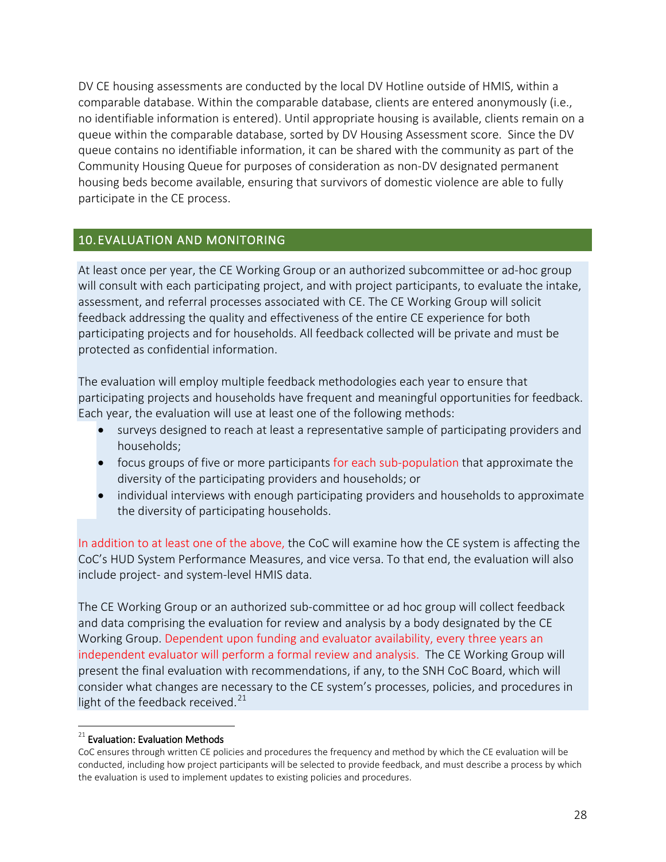DV CE housing assessments are conducted by the local DV Hotline outside of HMIS, within a comparable database. Within the comparable database, clients are entered anonymously (i.e., no identifiable information is entered). Until appropriate housing is available, clients remain on a queue within the comparable database, sorted by DV Housing Assessment score. Since the DV queue contains no identifiable information, it can be shared with the community as part of the Community Housing Queue for purposes of consideration as non-DV designated permanent housing beds become available, ensuring that survivors of domestic violence are able to fully participate in the CE process.

#### <span id="page-27-0"></span>10. EVALUATION AND MONITORING

At least once per year, the CE Working Group or an authorized subcommittee or ad-hoc group will consult with each participating project, and with project participants, to evaluate the intake, assessment, and referral processes associated with CE. The CE Working Group will solicit feedback addressing the quality and effectiveness of the entire CE experience for both participating projects and for households. All feedback collected will be private and must be protected as confidential information.

The evaluation will employ multiple feedback methodologies each year to ensure that participating projects and households have frequent and meaningful opportunities for feedback. Each year, the evaluation will use at least one of the following methods:

- surveys designed to reach at least a representative sample of participating providers and households;
- focus groups of five or more participants for each sub-population that approximate the diversity of the participating providers and households; or
- individual interviews with enough participating providers and households to approximate the diversity of participating households.

In addition to at least one of the above, the CoC will examine how the CE system is affecting the CoC's HUD System Performance Measures, and vice versa. To that end, the evaluation will also include project- and system-level HMIS data.

The CE Working Group or an authorized sub-committee or ad hoc group will collect feedback and data comprising the evaluation for review and analysis by a body designated by the CE Working Group. Dependent upon funding and evaluator availability, every three years an independent evaluator will perform a formal review and analysis. The CE Working Group will present the final evaluation with recommendations, if any, to the SNH CoC Board, which will consider what changes are necessary to the CE system's processes, policies, and procedures in light of the feedback received. $^{21}$  $^{21}$  $^{21}$ 

<span id="page-27-1"></span> $21$  Evaluation: Evaluation Methods

CoC ensures through written CE policies and procedures the frequency and method by which the CE evaluation will be conducted, including how project participants will be selected to provide feedback, and must describe a process by which the evaluation is used to implement updates to existing policies and procedures.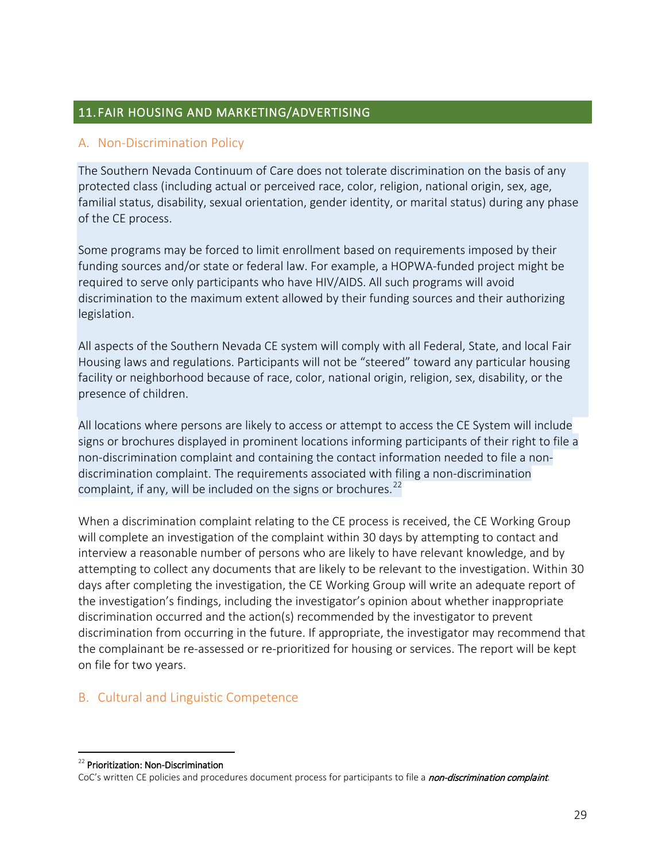## <span id="page-28-0"></span>11. FAIR HOUSING AND MARKETING/ADVERTISING

#### <span id="page-28-1"></span>A. Non-Discrimination Policy

The Southern Nevada Continuum of Care does not tolerate discrimination on the basis of any protected class (including actual or perceived race, color, religion, national origin, sex, age, familial status, disability, sexual orientation, gender identity, or marital status) during any phase of the CE process.

Some programs may be forced to limit enrollment based on requirements imposed by their funding sources and/or state or federal law. For example, a HOPWA-funded project might be required to serve only participants who have HIV/AIDS. All such programs will avoid discrimination to the maximum extent allowed by their funding sources and their authorizing legislation.

All aspects of the Southern Nevada CE system will comply with all Federal, State, and local Fair Housing laws and regulations. Participants will not be "steered" toward any particular housing facility or neighborhood because of race, color, national origin, religion, sex, disability, or the presence of children.

All locations where persons are likely to access or attempt to access the CE System will include signs or brochures displayed in prominent locations informing participants of their right to file a non-discrimination complaint and containing the contact information needed to file a nondiscrimination complaint. The requirements associated with filing a non-discrimination complaint, if any, will be included on the signs or brochures. $^{22}$  $^{22}$  $^{22}$ 

When a discrimination complaint relating to the CE process is received, the CE Working Group will complete an investigation of the complaint within 30 days by attempting to contact and interview a reasonable number of persons who are likely to have relevant knowledge, and by attempting to collect any documents that are likely to be relevant to the investigation. Within 30 days after completing the investigation, the CE Working Group will write an adequate report of the investigation's findings, including the investigator's opinion about whether inappropriate discrimination occurred and the action(s) recommended by the investigator to prevent discrimination from occurring in the future. If appropriate, the investigator may recommend that the complainant be re-assessed or re-prioritized for housing or services. The report will be kept on file for two years.

# <span id="page-28-2"></span>B. Cultural and Linguistic Competence

<span id="page-28-3"></span><sup>&</sup>lt;sup>22</sup> Prioritization: Non-Discrimination

CoC's written CE policies and procedures document process for participants to file a non-discrimination complaint.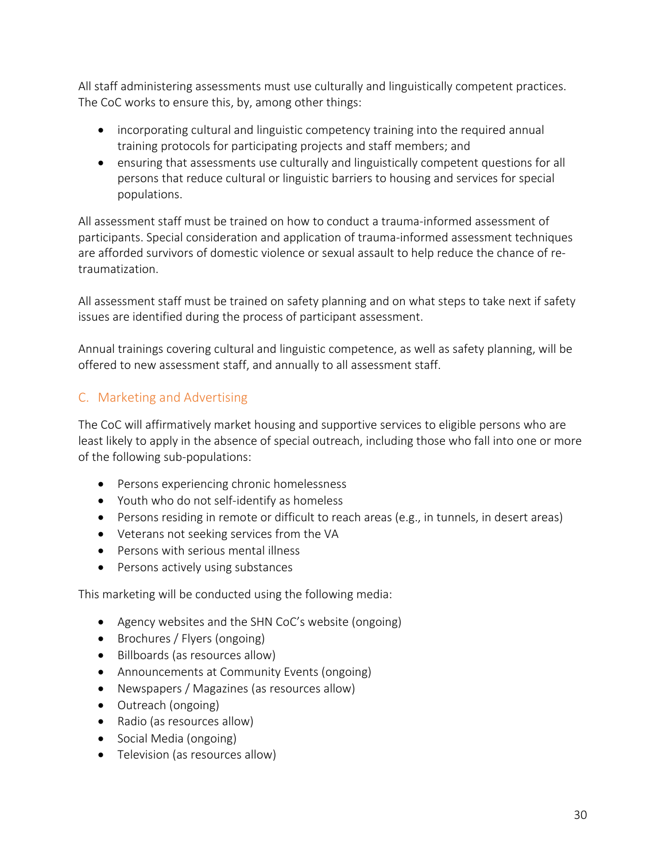All staff administering assessments must use culturally and linguistically competent practices. The CoC works to ensure this, by, among other things:

- incorporating cultural and linguistic competency training into the required annual training protocols for participating projects and staff members; and
- ensuring that assessments use culturally and linguistically competent questions for all persons that reduce cultural or linguistic barriers to housing and services for special populations.

All assessment staff must be trained on how to conduct a trauma-informed assessment of participants. Special consideration and application of trauma-informed assessment techniques are afforded survivors of domestic violence or sexual assault to help reduce the chance of retraumatization.

All assessment staff must be trained on safety planning and on what steps to take next if safety issues are identified during the process of participant assessment.

Annual trainings covering cultural and linguistic competence, as well as safety planning, will be offered to new assessment staff, and annually to all assessment staff.

# <span id="page-29-0"></span>C. Marketing and Advertising

The CoC will affirmatively market housing and supportive services to eligible persons who are least likely to apply in the absence of special outreach, including those who fall into one or more of the following sub-populations:

- Persons experiencing chronic homelessness
- Youth who do not self-identify as homeless
- Persons residing in remote or difficult to reach areas (e.g., in tunnels, in desert areas)
- Veterans not seeking services from the VA
- Persons with serious mental illness
- Persons actively using substances

This marketing will be conducted using the following media:

- Agency websites and the SHN CoC's website (ongoing)
- Brochures / Flyers (ongoing)
- Billboards (as resources allow)
- Announcements at Community Events (ongoing)
- Newspapers / Magazines (as resources allow)
- Outreach (ongoing)
- Radio (as resources allow)
- Social Media (ongoing)
- Television (as resources allow)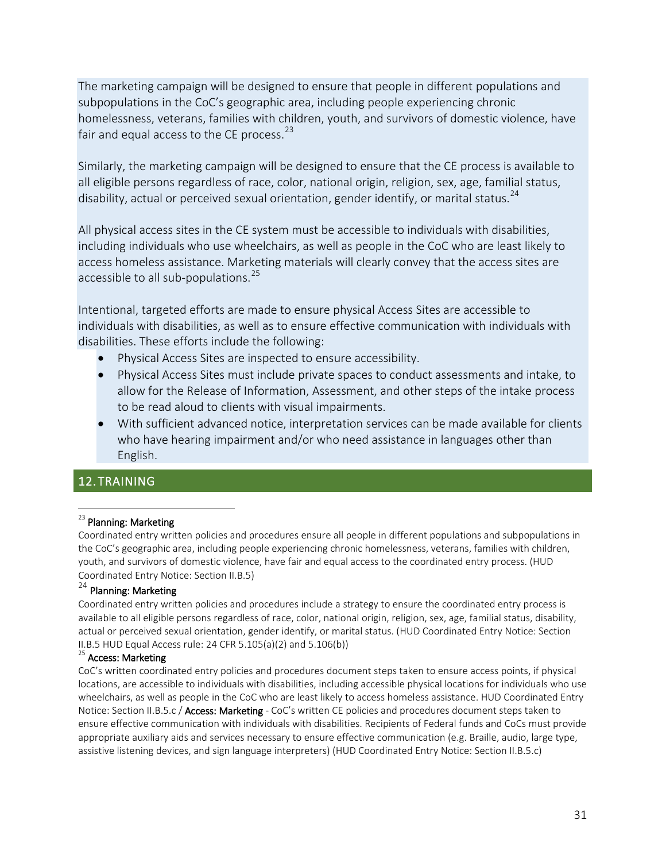The marketing campaign will be designed to ensure that people in different populations and subpopulations in the CoC's geographic area, including people experiencing chronic homelessness, veterans, families with children, youth, and survivors of domestic violence, have fair and equal access to the CE process. $^{23}$  $^{23}$  $^{23}$ 

Similarly, the marketing campaign will be designed to ensure that the CE process is available to all eligible persons regardless of race, color, national origin, religion, sex, age, familial status, disability, actual or perceived sexual orientation, gender identify, or marital status.<sup>[24](#page-30-2)</sup>

All physical access sites in the CE system must be accessible to individuals with disabilities, including individuals who use wheelchairs, as well as people in the CoC who are least likely to access homeless assistance. Marketing materials will clearly convey that the access sites are accessible to all sub-populations.<sup>[25](#page-30-3)</sup>

Intentional, targeted efforts are made to ensure physical Access Sites are accessible to individuals with disabilities, as well as to ensure effective communication with individuals with disabilities. These efforts include the following:

- Physical Access Sites are inspected to ensure accessibility.
- Physical Access Sites must include private spaces to conduct assessments and intake, to allow for the Release of Information, Assessment, and other steps of the intake process to be read aloud to clients with visual impairments.
- With sufficient advanced notice, interpretation services can be made available for clients who have hearing impairment and/or who need assistance in languages other than English.

## <span id="page-30-0"></span>12. TRAINING

#### <span id="page-30-1"></span><sup>23</sup> Planning: Marketing

Coordinated entry written policies and procedures ensure all people in different populations and subpopulations in the CoC's geographic area, including people experiencing chronic homelessness, veterans, families with children, youth, and survivors of domestic violence, have fair and equal access to the coordinated entry process. (HUD Coordinated Entry Notice: Section II.B.5)

# <span id="page-30-2"></span> $^{24}$  Planning: Marketing

Coordinated entry written policies and procedures include a strategy to ensure the coordinated entry process is available to all eligible persons regardless of race, color, national origin, religion, sex, age, familial status, disability, actual or perceived sexual orientation, gender identify, or marital status. (HUD Coordinated Entry Notice: Section II.B.5 HUD Equal Access rule: 24 CFR 5.105(a)(2) and 5.106(b))<br><sup>25</sup> Access: Marketing

<span id="page-30-3"></span>CoC's written coordinated entry policies and procedures document steps taken to ensure access points, if physical locations, are accessible to individuals with disabilities, including accessible physical locations for individuals who use wheelchairs, as well as people in the CoC who are least likely to access homeless assistance. HUD Coordinated Entry Notice: Section II.B.5.c / Access: Marketing - CoC's written CE policies and procedures document steps taken to ensure effective communication with individuals with disabilities. Recipients of Federal funds and CoCs must provide appropriate auxiliary aids and services necessary to ensure effective communication (e.g. Braille, audio, large type, assistive listening devices, and sign language interpreters) (HUD Coordinated Entry Notice: Section II.B.5.c)